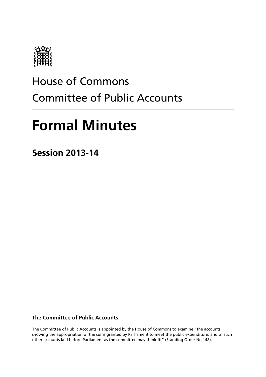

# House of Commons Committee of Public Accounts

# **Formal Minutes**

**Session 2013-14**

**The Committee of Public Accounts**

The Committee of Public Accounts is appointed by the House of Commons to examine "the accounts showing the appropriation of the sums granted by Parliament to meet the public expenditure, and of such other accounts laid before Parliament as the committee may think fit" (Standing Order No 148).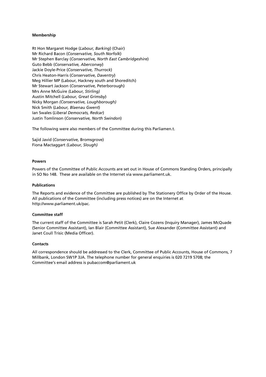#### **Membership**

Rt Hon Margaret Hodge (*Labour, Barking*) (Chair) Mr Richard Bacon (*Conservative, South Norfolk*) Mr Stephen Barclay (*Conservative, North East Cambridgeshire*) Guto Bebb (*Conservative, Aberconwy*) Jackie Doyle-Price (*Conservative, Thurrock*) Chris Heaton-Harris (*Conservative, Daventry*) Meg Hillier MP (Labour, Hackney south and Shoreditch) Mr Stewart Jackson (*Conservative,* Peterborough) Mrs Anne McGuire *(Labour, Stirling)* Austin Mitchell (*Labour, Great Grimsby*) Nicky Morgan *(Conservative, Loughborough)* Nick Smith (*Labour, Blaenau Gwent*) Ian Swales (*Liberal Democrats, Redcar*) Justin Tomlinson (*Conservative, North Swindon*)

The following were also members of the Committee during this Parliamen.t.

Sajid Javid (*Conservative,* Bromsgrove) Fiona Mactaggart *(Labour, Slough)*

#### **Powers**

Powers of the Committee of Public Accounts are set out in House of Commons Standing Orders, principally in SO No 148. These are available on the Internet via www.parliament.uk.

#### **Publications**

The Reports and evidence of the Committee are published by The Stationery Office by Order of the House. All publications of the Committee (including press notices) are on the Internet at http://www.parliament.uk/pac.

#### **Committee staff**

The current staff of the Committee is Sarah Petit (Clerk), Claire Cozens (Inquiry Manager), James McQuade (Senior Committee Assistant), Ian Blair (Committee Assistant), Sue Alexander (Committee Assistant) and Janet Coull Trisic (Media Officer).

#### **Contacts**

All correspondence should be addressed to the Clerk, Committee of Public Accounts, House of Commons, 7 Millbank, London SW1P 3JA. The telephone number for general enquiries is 020 7219 5708; the Committee's email address is pubaccom@parliament.uk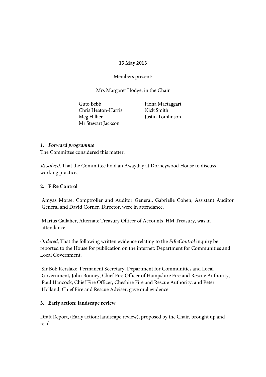#### **13 May 2013**

Members present:

Mrs Margaret Hodge, in the Chair

Guto Bebb Chris Heaton-Harris Meg Hillier Mr Stewart Jackson

Fiona Mactaggart Nick Smith Justin Tomlinson

#### *1. Forward programme*

The Committee considered this matter.

Resolved, That the Committee hold an Awayday at Dorneywood House to discuss working practices.

#### **2. FiRe Control**

Amyas Morse, Comptroller and Auditor General, Gabrielle Cohen, Assistant Auditor General and David Corner, Director, were in attendance.

Marius Gallaher, Alternate Treasury Officer of Accounts, HM Treasury, was in attendance.

*Ordered*, That the following written evidence relating to the *FiReControl* inquiry be reported to the House for publication on the internet: Department for Communities and Local Government.

Sir Bob Kerslake, Permanent Secretary, Department for Communities and Local Government, John Bonney, Chief Fire Officer of Hampshire Fire and Rescue Authority, Paul Hancock, Chief Fire Officer, Cheshire Fire and Rescue Authority, and Peter Holland, Chief Fire and Rescue Adviser, gave oral evidence.

#### **3. Early action: landscape review**

Draft Report, (Early action: landscape review), proposed by the Chair, brought up and read.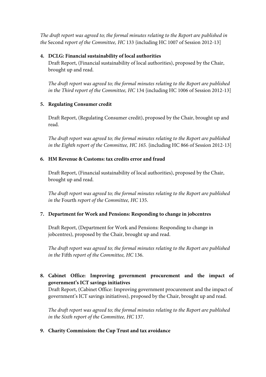*The draft report was agreed to; the formal minutes relating to the Report are published in the* Second *report of the Committee, HC* 133 {including HC 1007 of Session 2012-13]

### **4. DCLG: Financial sustainability of local authorities**

Draft Report, (Financial sustainability of local authorities), proposed by the Chair, brought up and read.

*The draft report was agreed to; the formal minutes relating to the Report are published in the Third report of the Committee, HC* 134 {including HC 1006 of Session 2012-13]

# **5. Regulating Consumer credit**

Draft Report, (Regulating Consumer credit), proposed by the Chair, brought up and read.

*The draft report was agreed to; the formal minutes relating to the Report are published in the Eighth report of the Committee, HC 165.* {including HC 866 of Session 2012-13]

# **6. HM Revenue & Customs: tax credits error and fraud**

Draft Report, (Financial sustainability of local authorities), proposed by the Chair, brought up and read.

*The draft report was agreed to; the formal minutes relating to the Report are published in the* Fourth *report of the Committee, HC* 135.

# **7. Department for Work and Pensions: Responding to change in jobcentres**

Draft Report, (Department for Work and Pensions: Responding to change in jobcentres), proposed by the Chair, brought up and read.

*The draft report was agreed to; the formal minutes relating to the Report are published in the* Fifth *report of the Committee, HC* 136.

**8. Cabinet Office: Improving government procurement and the impact of government's ICT savings initiatives**

Draft Report, (Cabinet Office: Improving government procurement and the impact of government's ICT savings initiatives), proposed by the Chair, brought up and read.

*The draft report was agreed to; the formal minutes relating to the Report are published in the Sixth report of the Committee, HC* 137.

**9. Charity Commission: the Cup Trust and tax avoidance**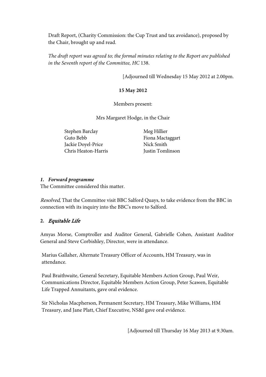Draft Report, (Charity Commission: the Cup Trust and tax avoidance), proposed by the Chair, brought up and read.

*The draft report was agreed to; the formal minutes relating to the Report are published in the Seventh report of the Committee, HC* 138.

[Adjourned till Wednesday 15 May 2012 at 2.00pm.

#### **15 May 2012**

Members present:

Mrs Margaret Hodge, in the Chair

Stephen Barclay Guto Bebb Jackie Doyel-Price Chris Heaton-Harris Meg Hillier Fiona Mactaggart Nick Smith Justin Tomlinson

#### *1. Forward programme*

The Committee considered this matter.

Resolved, That the Committee visit BBC Salford Quays, to take evidence from the BBC in connection with its inquiry into the BBC's move to Salford.

#### **2.** Equitable Life

Amyas Morse, Comptroller and Auditor General, Gabrielle Cohen, Assistant Auditor General and Steve Corbishley, Director, were in attendance.

Marius Gallaher, Alternate Treasury Officer of Accounts, HM Treasury, was in attendance.

Paul Braithwaite, General Secretary, Equitable Members Action Group, Paul Weir, Communications Director, Equitable Members Action Group, Peter Scawen, Equitable Life Trapped Annuitants, gave oral evidence.

Sir Nicholas Macpherson, Permanent Secretary, HM Treasury, Mike Williams, HM Treasury, and Jane Platt, Chief Executive, NS&I gave oral evidence.

[Adjourned till Thursday 16 May 2013 at 9.30am.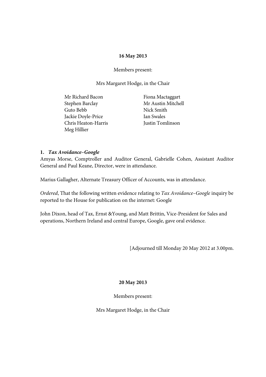#### **16 May 2013**

#### Members present:

Mrs Margaret Hodge, in the Chair

| Mr Richard Bacon    | Fiona Mactaggart   |
|---------------------|--------------------|
| Stephen Barclay     | Mr Austin Mitchell |
| Guto Bebb           | Nick Smith         |
| Jackie Doyle-Price  | Ian Swales         |
| Chris Heaton-Harris | Justin Tomlinson   |
| Meg Hillier         |                    |

#### **1.** *Tax Avoidance–Google*

Amyas Morse, Comptroller and Auditor General, Gabrielle Cohen, Assistant Auditor General and Paul Keane, Director, were in attendance.

Marius Gallagher, Alternate Treasury Officer of Accounts, was in attendance.

*Ordered*, That the following written evidence relating to *Tax Avoidance–Google* inquiry be reported to the House for publication on the internet: Google

John Dixon, head of Tax, Ernst &Young, and Matt Brittin, Vice-President for Sales and operations, Northern Ireland and central Europe, Google, gave oral evidence.

[Adjourned till Monday 20 May 2012 at 3.00pm.

#### **20 May 2013**

Members present: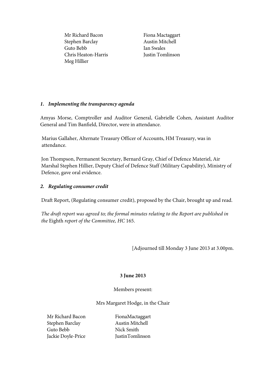Mr Richard Bacon Stephen Barclay Guto Bebb Chris Heaton-Harris Meg Hillier

Fiona Mactaggart Austin Mitchell Ian Swales Justin Tomlinson

# *1. Implementing the transparency agenda*

Amyas Morse, Comptroller and Auditor General, Gabrielle Cohen, Assistant Auditor General and Tim Banfield, Director, were in attendance.

Marius Gallaher, Alternate Treasury Officer of Accounts, HM Treasury, was in attendance.

Jon Thompson, Permanent Secretary, Bernard Gray, Chief of Defence Materiel, Air Marshal Stephen Hillier, Deputy Chief of Defence Staff (Military Capability), Ministry of Defence, gave oral evidence.

# *2. Regulating consumer credit*

Draft Report, (Regulating consumer credit), proposed by the Chair, brought up and read.

*The draft report was agreed to; the formal minutes relating to the Report are published in the* Eighth *report of the Committee, HC* 165.

[Adjourned till Monday 3 June 2013 at 3.00pm.

# **3 June 2013**

#### Members present:

Mrs Margaret Hodge, in the Chair

Mr Richard Bacon Stephen Barclay Guto Bebb Jackie Doyle-Price

FionaMactaggart Austin Mitchell Nick Smith JustinTomlinson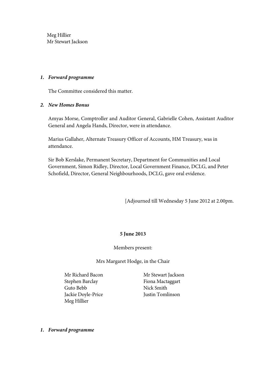Meg Hillier Mr Stewart Jackson

#### *1. Forward programme*

The Committee considered this matter.

#### *2. New Homes Bonus*

Amyas Morse, Comptroller and Auditor General, Gabrielle Cohen, Assistant Auditor General and Angela Hands, Director, were in attendance.

Marius Gallaher, Alternate Treasury Officer of Accounts, HM Treasury, was in attendance.

Sir Bob Kerslake, Permanent Secretary, Department for Communities and Local Government, Simon Ridley, Director, Local Government Finance, DCLG, and Peter Schofield, Director, General Neighbourhoods, DCLG, gave oral evidence.

[Adjourned till Wednesday 5 June 2012 at 2.00pm.

#### **5 June 2013**

Members present:

Mrs Margaret Hodge, in the Chair

Mr Richard Bacon Stephen Barclay Guto Bebb Jackie Doyle-Price Meg Hillier

Mr Stewart Jackson Fiona Mactaggart Nick Smith Justin Tomlinson

*1. Forward programme*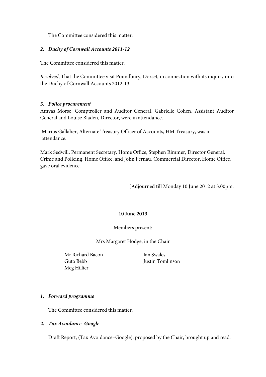The Committee considered this matter.

#### *2. Duchy of Cornwall Accounts 2011-12*

The Committee considered this matter.

*Resolved*, That the Committee visit Poundbury, Dorset, in connection with its inquiry into the Duchy of Cornwall Accounts 2012-13.

#### *3. Police procurement*

Amyas Morse, Comptroller and Auditor General, Gabrielle Cohen, Assistant Auditor General and Louise Bladen, Director, were in attendance.

Marius Gallaher, Alternate Treasury Officer of Accounts, HM Treasury, was in attendance.

Mark Sedwill, Permanent Secretary, Home Office, Stephen Rimmer, Director General, Crime and Policing, Home Office, and John Fernau, Commercial Director, Home Office, gave oral evidence.

[Adjourned till Monday 10 June 2012 at 3.00pm.

#### **10 June 2013**

Members present:

Mrs Margaret Hodge, in the Chair

Mr Richard Bacon Guto Bebb Meg Hillier

Ian Swales Justin Tomlinson

#### *1. Forward programme*

The Committee considered this matter.

#### *2. Tax Avoidance–Google*

Draft Report, (Tax Avoidance–Google), proposed by the Chair, brought up and read.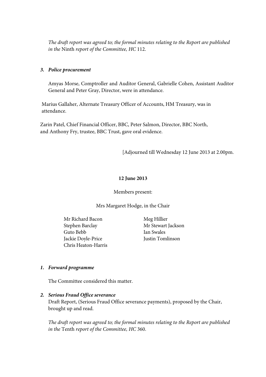*The draft report was agreed to; the formal minutes relating to the Report are published in the* Ninth *report of the Committee, HC* 112.

#### *3. Police procurement*

Amyas Morse, Comptroller and Auditor General, Gabrielle Cohen, Assistant Auditor General and Peter Gray, Director, were in attendance.

Marius Gallaher, Alternate Treasury Officer of Accounts, HM Treasury, was in attendance.

Zarin Patel, Chief Financial Officer, BBC, Peter Salmon, Director, BBC North, and Anthony Fry, trustee, BBC Trust, gave oral evidence.

[Adjourned till Wednesday 12 June 2013 at 2.00pm.

#### **12 June 2013**

#### Members present:

#### Mrs Margaret Hodge, in the Chair

Mr Richard Bacon Stephen Barclay Guto Bebb Jackie Doyle-Price Chris Heaton-Harris

Meg Hillier Mr Stewart Jackson Ian Swales Justin Tomlinson

#### *1. Forward programme*

The Committee considered this matter.

#### *2. Serious Fraud Office severance*

Draft Report, (Serious Fraud Office severance payments), proposed by the Chair, brought up and read.

*The draft report was agreed to; the formal minutes relating to the Report are published in the* Tenth *report of the Committee, HC* 360.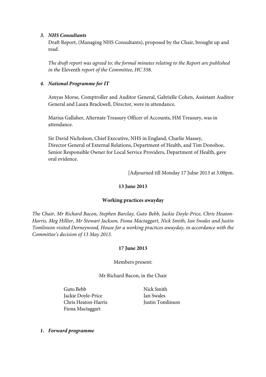#### *3. NHS Consultants*

Draft Report, (Managing NHS Consultants), proposed by the Chair, brought up and read.

*The draft report was agreed to; the formal minutes relating to the Report are published in the* Eleventh *report of the Committee, HC* 358.

# *4. National Programme for IT*

Amyas Morse, Comptroller and Auditor General, Gabrielle Cohen, Assistant Auditor General and Laura Brackwell, Director, were in attendance.

Marius Gallaher, Alternate Treasury Officer of Accounts, HM Treasury, was in attendance.

Sir David Nicholson, Chief Executive, NHS in England, Charlie Massey, Director General of External Relations, Department of Health, and Tim Donohoe, Senior Responsible Owner for Local Service Providers, Department of Health, gave oral evidence.

[Adjourned till Monday 17 Julne 2013 at 3.00pm.

#### **13 June 2013**

#### **Working practices awayday**

*The Chair, Mr Richard Bacon, Stephen Barclay, Guto Bebb, Jackie Doyle-Price, Chris Heaton-Harris, Meg Hillier, Mr Stewart Jackson, Fiona Mactaggart, Nick Smith, Ian Swales and Justin Tomlinson visited Dorneywood, House for a working practices awayday, in accordance with the Committee's decision of 13 May 2013.*

#### **17 June 2013**

#### Members present:

Mr Richard Bacon, in the Chair

Guto Bebb Jackie Doyle-Price Chris Heaton-Harris Fiona Mactaggart

Nick Smith Ian Swales Justin Tomlinson

*1. Forward programme*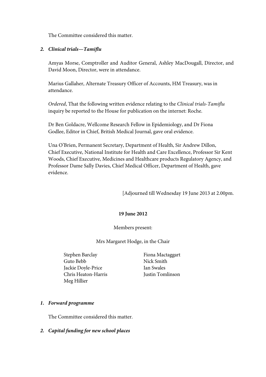The Committee considered this matter.

#### *2. Clinical trials—Tamiflu*

Amyas Morse, Comptroller and Auditor General, Ashley MacDougall, Director, and David Moon, Director, were in attendance.

Marius Gallaher, Alternate Treasury Officer of Accounts, HM Treasury, was in attendance.

*Ordered*, That the following written evidence relating to the *Clinical trials-Tamiflu*  inquiry be reported to the House for publication on the internet: Roche.

Dr Ben Goldacre, Wellcome Research Fellow in Epidemiology, and Dr Fiona Godlee, Editor in Chief, British Medical Journal, gave oral evidence.

Una O'Brien, Permanent Secretary, Department of Health, Sir Andrew Dillon, Chief Executive, National Institute for Health and Care Excellence, Professor Sir Kent Woods, Chief Executive, Medicines and Healthcare products Regulatory Agency, and Professor Dame Sally Davies, Chief Medical Officer, Department of Health, gave evidence.

[Adjourned till Wednesday 19 June 2013 at 2.00pm.

#### **19 June 2012**

#### Members present:

Mrs Margaret Hodge, in the Chair

- Stephen Barclay Guto Bebb Jackie Doyle-Price Chris Heaton-Harris Meg Hillier
- Fiona Mactaggart Nick Smith Ian Swales Justin Tomlinson

#### *1. Forward programme*

The Committee considered this matter.

#### *2. Capital funding for new school places*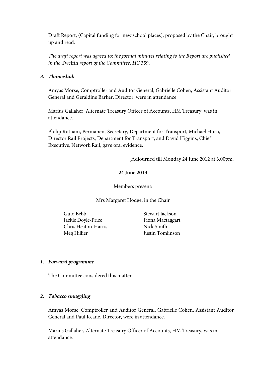Draft Report, (Capital funding for new school places), proposed by the Chair, brought up and read.

*The draft report was agreed to; the formal minutes relating to the Report are published in the* Twelfth *report of the Committee, HC* 359.

#### *3. Thameslink*

Amyas Morse, Comptroller and Auditor General, Gabrielle Cohen, Assistant Auditor General and Geraldine Barker, Director, were in attendance.

Marius Gallaher, Alternate Treasury Officer of Accounts, HM Treasury, was in attendance.

Philip Rutnam, Permanent Secretary, Department for Transport, Michael Hurn, Director Rail Projects, Department for Transport, and David Higgins, Chief Executive, Network Rail, gave oral evidence.

[Adjourned till Monday 24 June 2012 at 3.00pm.

#### **24 June 2013**

Members present:

Mrs Margaret Hodge, in the Chair

Guto Bebb Jackie Doyle-Price Chris Heaton-Harris Meg Hillier

Stewart Jackson Fiona Mactaggart Nick Smith Justin Tomlinson

#### *1. Forward programme*

The Committee considered this matter.

#### *2. Tobacco smuggling*

Amyas Morse, Comptroller and Auditor General, Gabrielle Cohen, Assistant Auditor General and Paul Keane, Director, were in attendance.

Marius Gallaher, Alternate Treasury Officer of Accounts, HM Treasury, was in attendance.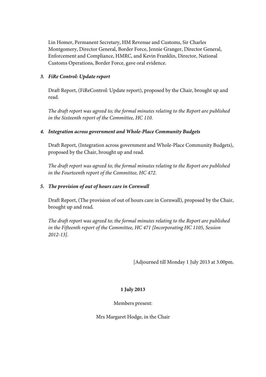Lin Homer, Permanent Secretary, HM Revenue and Customs, Sir Charles Montgomery, Director General, Border Force, Jennie Granger, Director General, Enforcement and Compliance, HMRC, and Kevin Franklin, Director, National Customs Operations, Border Force, gave oral evidence.

# *3. FiRe Control: Update report*

Draft Report, (FiReControl: Update report), proposed by the Chair, brought up and read.

*The draft report was agreed to; the formal minutes relating to the Report are published in the Sixteenth report of the Committee, HC 110*.

# *4. Integration across government and Whole-Place Community Budgets*

Draft Report, (Integration across government and Whole-Place Community Budgets), proposed by the Chair, brought up and read.

*The draft report was agreed to; the formal minutes relating to the Report are published in the Fourteenth report of the Committee, HC 472*.

# *5. The provision of out of hours care in Cornwall*

Draft Report, (The provision of out of hours care in Cornwall), proposed by the Chair, brought up and read.

*The draft report was agreed to; the formal minutes relating to the Report are published in the Fifteenth report of the Committee, HC 471 [Incorporating HC 1105, Session 2012-13]*.

[Adjourned till Monday 1 July 2013 at 3.00pm.

# **1 July 2013**

Members present: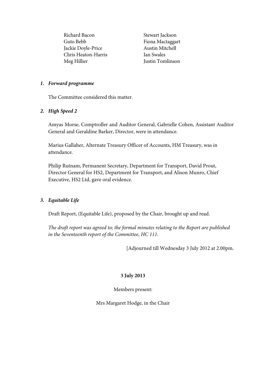Richard Bacon Guto Bebb Jackie Doyle-Price Chris Heaton-Harris Meg Hillier

Stewart Jackson Fiona Mactaggart Austin Mitchell Ian Swales Justin Tomlinson

#### *1. Forward programme*

The Committee considered this matter.

#### *2. High Speed 2*

Amyas Morse, Comptroller and Auditor General, Gabrielle Cohen, Assistant Auditor General and Geraldine Barker, Director, were in attendance.

Marius Gallaher, Alternate Treasury Officer of Accounts, HM Treasury, was in attendance.

Philip Rutnam, Permanent Secretary, Department for Transport, David Prout, Director General for HS2, Department for Transport, and Alison Munro, Chief Executive, HS2 Ltd, gave oral evidence.

#### *3. Equitable Life*

Draft Report, (Equitable Life), proposed by the Chair, brought up and read.

*The draft report was agreed to; the formal minutes relating to the Report are published in the Seventeenth report of the Committee, HC 111.*

[Adjourned till Wednesday 3 July 2012 at 2.00pm.

#### **3 July 2013**

Members present: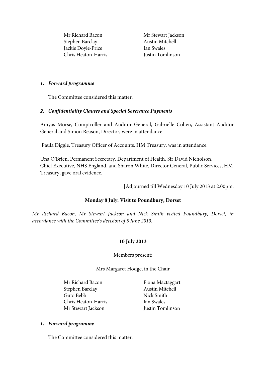Mr Richard Bacon Stephen Barclay Jackie Doyle-Price Chris Heaton-Harris Mr Stewart Jackson Austin Mitchell Ian Swales Justin Tomlinson

#### *1. Forward programme*

The Committee considered this matter.

#### *2. Confidentiality Clauses and Special Severance Payments*

Amyas Morse, Comptroller and Auditor General, Gabrielle Cohen, Assistant Auditor General and Simon Reason, Director, were in attendance.

Paula Diggle, Treasury Officer of Accounts, HM Treasury, was in attendance.

Una O'Brien, Permanent Secretary, Department of Health, Sir David Nicholson, Chief Executive, NHS England, and Sharon White, Director General, Public Services, HM Treasury, gave oral evidence.

[Adjourned till Wednesday 10 July 2013 at 2.00pm.

#### **Monday 8 July: Visit to Poundbury, Dorset**

*Mr Richard Bacon, Mr Stewart Jackson and Nick Smith visited Poundbury, Dorset, in accordance with the Committee's decision of 5 June 2013.*

#### **10 July 2013**

#### Members present:

Mrs Margaret Hodge, in the Chair

Mr Richard Bacon Stephen Barclay Guto Bebb Chris Heaton-Harris Mr Stewart Jackson

Fiona Mactaggart Austin Mitchell Nick Smith Ian Swales Justin Tomlinson

#### *1. Forward programme*

The Committee considered this matter.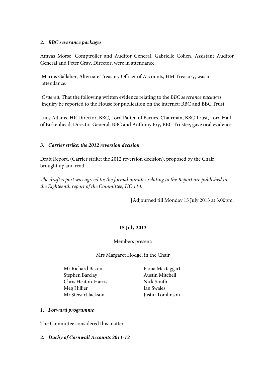# *2. BBC severance packages*

Amyas Morse, Comptroller and Auditor General, Gabrielle Cohen, Assistant Auditor General and Peter Gray, Director, were in attendance.

Marius Gallaher, Alternate Treasury Officer of Accounts, HM Treasury, was in attendance.

*Ordered*, That the following written evidence relating to the *BBC severance packages*  inquiry be reported to the House for publication on the internet: BBC and BBC Trust.

Lucy Adams, HR Director, BBC, Lord Patten of Barnes, Chairman, BBC Trust, Lord Hall of Birkenhead, Director General, BBC and Anthony Fry, BBC Trustee, gave oral evidence.

# *3. Carrier strike: the 2012 reversion decision*

Draft Report, (Carrier strike: the 2012 reversion decision), proposed by the Chair, brought up and read.

*The draft report was agreed to; the formal minutes relating to the Report are published in the Eighteenth report of the Committee, HC 113.*

[Adjourned till Monday 15 July 2013 at 3.00pm.

# **15 July 2013**

#### Members present:

Mrs Margaret Hodge, in the Chair

Mr Richard Bacon Stephen Barclay Chris Heaton-Harris Meg Hillier Mr Stewart Jackson

Fiona Mactaggart Austin Mitchell Nick Smith Ian Swales Justin Tomlinson

#### *1. Forward programme*

The Committee considered this matter.

#### *2. Duchy of Cornwall Accounts 2011-12*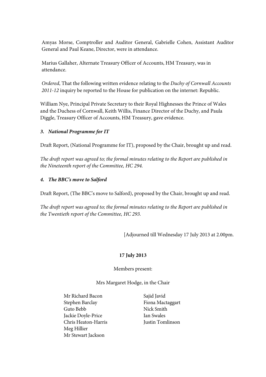Amyas Morse, Comptroller and Auditor General, Gabrielle Cohen, Assistant Auditor General and Paul Keane, Director, were in attendance.

Marius Gallaher, Alternate Treasury Officer of Accounts, HM Treasury, was in attendance.

*Ordered*, That the following written evidence relating to the *Duchy of Cornwall Accounts 2011-12* inquiry be reported to the House for publication on the internet: Republic.

William Nye, Principal Private Secretary to their Royal Highnesses the Prince of Wales and the Duchess of Cornwall, Keith Willis, Finance Director of the Duchy, and Paula Diggle, Treasury Officer of Accounts, HM Treasury, gave evidence.

# *3. National Programme for IT*

Draft Report, (National Programme for IT), proposed by the Chair, brought up and read.

*The draft report was agreed to; the formal minutes relating to the Report are published in the Nineteenth report of the Committee, HC 294.*

#### *4. The BBC's move to Salford*

Draft Report, (The BBC's move to Salford), proposed by the Chair, brought up and read.

*The draft report was agreed to; the formal minutes relating to the Report are published in the Twentieth report of the Committee, HC 293.*

[Adjourned till Wednesday 17 July 2013 at 2.00pm.

#### **17 July 2013**

#### Members present:

- Mr Richard Bacon Stephen Barclay Guto Bebb Jackie Doyle-Price Chris Heaton-Harris Meg Hillier Mr Stewart Jackson
- Sajid Javid Fiona Mactaggart Nick Smith Ian Swales Justin Tomlinson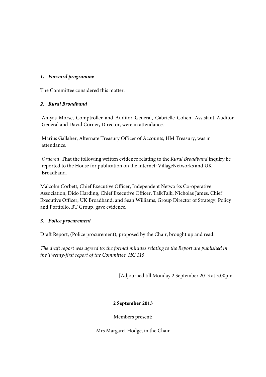### *1. Forward programme*

The Committee considered this matter.

# *2. Rural Broadband*

Amyas Morse, Comptroller and Auditor General, Gabrielle Cohen, Assistant Auditor General and David Corner, Director, were in attendance.

Marius Gallaher, Alternate Treasury Officer of Accounts, HM Treasury, was in attendance.

*Ordered*, That the following written evidence relating to the *Rural Broadband* inquiry be reported to the House for publication on the internet: VillageNetworks and UK Broadband.

Malcolm Corbett, Chief Executive Officer, Independent Networks Co-operative Association, Dido Harding, Chief Executive Officer, TalkTalk, Nicholas James, Chief Executive Officer, UK Broadband, and Sean Williams, Group Director of Strategy, Policy and Portfolio, BT Group, gave evidence.

#### *3. Police procurement*

Draft Report, (Police procurement), proposed by the Chair, brought up and read.

*The draft report was agreed to; the formal minutes relating to the Report are published in the Twenty-first report of the Committee, HC 115*

[Adjourned till Monday 2 September 2013 at 3.00pm.

# **2 September 2013**

Members present: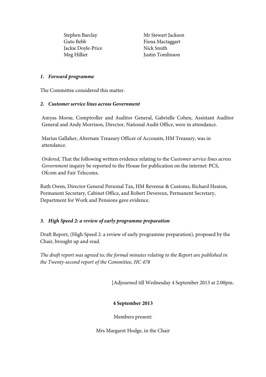Stephen Barclay Guto Bebb Jackie Doyle-Price Meg Hillier

Mr Stewart Jackson Fiona Mactaggart Nick Smith Justin Tomlinson

#### *1. Forward programme*

The Committee considered this matter.

#### *2. Customer service lines across Government*

Amyas Morse, Comptroller and Auditor General, Gabrielle Cohen, Assistant Auditor General and Andy Morrison, Director, National Audit Office, were in attendance.

Marius Gallaher, Alternate Treasury Officer of Accounts, HM Treasury, was in attendance.

*Ordered*, That the following written evidence relating to the *Customer service lines across Government* inquiry be reported to the House for publication on the internet: PCS, Ofcom and Fair Telecoms.

Ruth Owen, Director General Personal Tax, HM Revenue & Customs, Richard Heaton, Permanent Secretary, Cabinet Office, and Robert Devereux, Permanent Secretary, Department for Work and Pensions gave evidence.

#### *3. High Speed 2: a review of early programme preparation*

Draft Report, (High Speed 2: a review of early programme preparation), proposed by the Chair, brought up and read.

*The draft report was agreed to; the formal minutes relating to the Report are published in the Twenty-second report of the Committee, HC 478*

[Adjourned till Wednesday 4 September 2013 at 2.00pm.

#### **4 September 2013**

Members present: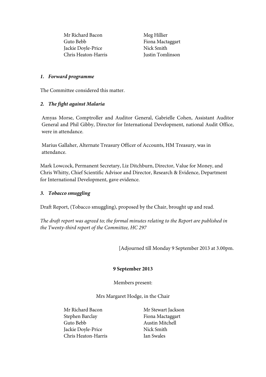Mr Richard Bacon Guto Bebb Jackie Doyle-Price Chris Heaton-Harris

Meg Hillier Fiona Mactaggart Nick Smith Justin Tomlinson

#### *1. Forward programme*

The Committee considered this matter.

#### *2. The fight against Malaria*

Amyas Morse, Comptroller and Auditor General, Gabrielle Cohen, Assistant Auditor General and Phil Gibby, Director for International Development, national Audit Office, were in attendance.

Marius Gallaher, Alternate Treasury Officer of Accounts, HM Treasury, was in attendance.

Mark Lowcock, Permanent Secretary, Liz Ditchburn, Director, Value for Money, and Chris Whitty, Chief Scientific Advisor and Director, Research & Evidence, Department for International Development, gave evidence.

#### *3. Tobacco smuggling*

Draft Report, (Tobacco smuggling), proposed by the Chair, brought up and read.

*The draft report was agreed to; the formal minutes relating to the Report are published in the Twenty-third report of the Committee, HC 297*

[Adjourned till Monday 9 September 2013 at 3.00pm.

#### **9 September 2013**

Members present:

Mrs Margaret Hodge, in the Chair

Mr Richard Bacon Stephen Barclay Guto Bebb Jackie Doyle-Price Chris Heaton-Harris

Mr Stewart Jackson Fiona Mactaggart Austin Mitchell Nick Smith Ian Swales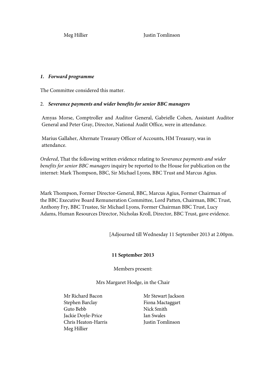Meg Hillier **Justin Tomlinson** 

#### *1. Forward programme*

The Committee considered this matter.

#### 2. *Severance payments and wider benefits for senior BBC managers*

Amyas Morse, Comptroller and Auditor General, Gabrielle Cohen, Assistant Auditor General and Peter Gray, Director, National Audit Office, were in attendance.

Marius Gallaher, Alternate Treasury Officer of Accounts, HM Treasury, was in attendance.

*Ordered*, That the following written evidence relating to *Severance payments and wider benefits for senior BBC managers* inquiry be reported to the House for publication on the internet: Mark Thompson, BBC, Sir Michael Lyons, BBC Trust and Marcus Agius.

Mark Thompson, Former Director-General, BBC, Marcus Agius, Former Chairman of the BBC Executive Board Remuneration Committee, Lord Patten, Chairman, BBC Trust, Anthony Fry, BBC Trustee, Sir Michael Lyons, Former Chairman BBC Trust, Lucy Adams, Human Resources Director, Nicholas Kroll, Director, BBC Trust, gave evidence.

[Adjourned till Wednesday 11 September 2013 at 2.00pm.

#### **11 September 2013**

Members present:

Mrs Margaret Hodge, in the Chair

Mr Richard Bacon Stephen Barclay Guto Bebb Jackie Doyle-Price Chris Heaton-Harris Meg Hillier

Mr Stewart Jackson Fiona Mactaggart Nick Smith Ian Swales Justin Tomlinson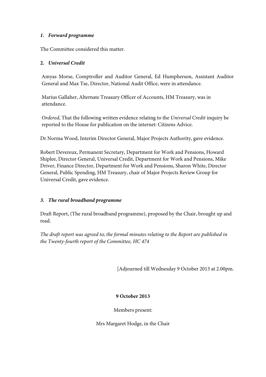#### *1. Forward programme*

The Committee considered this matter.

#### **2.** *Universal Credit*

Amyas Morse, Comptroller and Auditor General, Ed Humpherson, Assistant Auditor General and Max Tse, Director, National Audit Office, were in attendance.

Marius Gallaher, Alternate Treasury Officer of Accounts, HM Treasury, was in attendance.

*Ordered*, That the following written evidence relating to the *Universal Credit* inquiry be reported to the House for publication on the internet: Citizens Advice.

Dr Norma Wood, Interim Director General, Major Projects Authority, gave evidence.

Robert Devereux, Permanent Secretary, Department for Work and Pensions, Howard Shiplee, Director General, Universal Credit, Department for Work and Pensions, Mike Driver, Finance Director, Department for Work and Pensions, Sharon White, Director General, Public Spending, HM Treasury, chair of Major Projects Review Group for Universal Credit, gave evidence.

#### *3. The rural broadband programme*

Draft Report, (The rural broadband programme), proposed by the Chair, brought up and read.

*The draft report was agreed to; the formal minutes relating to the Report are published in the Twenty-fourth report of the Committee, HC 474*

[Adjourned till Wednesday 9 October 2013 at 2.00pm.

#### **9 October 2013**

Members present: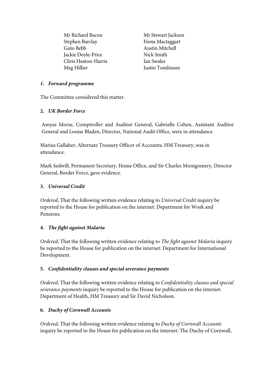Mr Richard Bacon Stephen Barclay Guto Bebb Jackie Doyle-Price Chris Heaton-Harris Meg Hillier

Mr Stewart Jackson Fiona Mactaggart Austin Mitchell Nick Smith Ian Swales Justin Tomlinson

#### *1. Forward programme*

The Committee considered this matter.

#### **2.** *UK Border Force*

Amyas Morse, Comptroller and Auditor General, Gabrielle Cohen, Assistant Auditor General and Louise Bladen, Director, National Audit Office, were in attendance.

Marius Gallaher, Alternate Treasury Officer of Accounts, HM Treasury, was in attendance.

Mark Sedwill, Permanent Secretary, Home Office, and Sir Charles Montgomery, Director General, Border Force, gave evidence.

#### **3.** *Universal Credit*

*Ordered*, That the following written evidence relating to *Universal Credit* inquiry be reported to the House for publication on the internet: Department for Work and Pensions.

#### **4.** *The fight against Malaria*

*Ordered*, That the following written evidence relating to *The fight against Malaria* inquiry be reported to the House for publication on the internet: Department for International Development.

#### **5.** *Confidentiality clauses and special severance payments*

*Ordered*, That the following written evidence relating to *Confidentiality clauses and special severance payments* inquiry be reported to the House for publication on the internet: Department of Health, HM Treasury and Sir David Nicholson.

#### **6.** *Duchy of Cornwall Accounts*

*Ordered*, That the following written evidence relating to *Duchy of Cornwall Accounts*  inquiry be reported to the House for publication on the internet: The Duchy of Cornwall,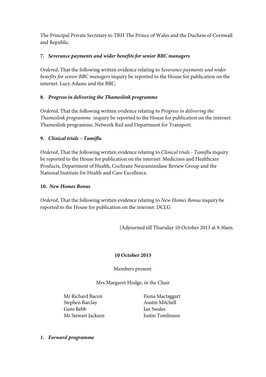The Principal Private Secretary to TRH The Prince of Wales and the Duchess of Cornwall and Republic.

# **7.** *Severance payments and wider benefits for senior BBC managers*

*Ordered*, That the following written evidence relating to *Severance payments and wider benefits for senior BBC managers* inquiry be reported to the House for publication on the internet: Lucy Adams and the BBC.

# **8.** *Progress in delivering the Thameslink programme*

*Ordered*, That the following written evidence relating to *Progress in delivering the Thameslink programme* inquiry be reported to the House for publication on the internet: Thameslink programme, Network Rail and Department for Transport.

# **9.** *Clinical trials – Tamiflu*

*Ordered*, That the following written evidence relating to *Clinical trials - Tamiflu* inquiry be reported to the House for publication on the internet: Medicines and Healthcare Products, Department of Health, Cochrane Neuraminidase Review Group and the National Institute for Health and Care Excellence.

#### **10.** *New Homes Bonus*

*Ordered*, That the following written evidence relating to *New Homes Bonus* inquiry be reported to the House for publication on the internet: DCLG

[Adjourned till Thursday 10 October 2013 at 9.30am.

#### **10 October 2013**

Members present:

Mrs Margaret Hodge, in the Chair

Mr Richard Bacon Stephen Barclay Guto Bebb Mr Stewart Jackson

Fiona Mactaggart Austin Mitchell Ian Swales Justin Tomlinson

*1. Forward programme*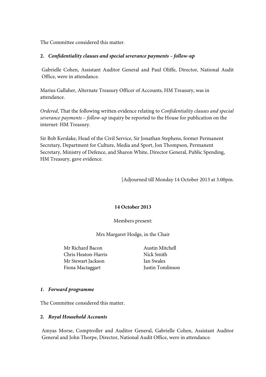The Committee considered this matter.

#### **2.** *Confidentiality clauses and special severance payments – follow-up*

Gabrielle Cohen, Assistant Auditor General and Paul Oliffe, Director, National Audit Office, were in attendance.

Marius Gallaher, Alternate Treasury Officer of Accounts, HM Treasury, was in attendance.

*Ordered*, That the following written evidence relating to *Confidentiality clauses and special severance payments – follow-up* inquiry be reported to the House for publication on the internet: HM Treasury.

Sir Bob Kerslake, Head of the Civil Service, Sir Jonathan Stephens, former Permanent Secretary, Department for Culture, Media and Sport, Jon Thompson, Permanent Secretary, Ministry of Defence, and Sharon White, Director General, Public Spending, HM Treasury, gave evidence.

[Adjourned till Monday 14 October 2013 at 3.00pm.

#### **14 October 2013**

Members present:

Mrs Margaret Hodge, in the Chair

Mr Richard Bacon Chris Heaton-Harris Mr Stewart Jackson Fiona Mactaggart

Austin Mitchell Nick Smith Ian Swales Justin Tomlinson

#### *1. Forward programme*

The Committee considered this matter.

#### **2.** *Royal Household Accounts*

Amyas Morse, Comptroller and Auditor General, Gabrielle Cohen, Assistant Auditor General and John Thorpe, Director, National Audit Office, were in attendance.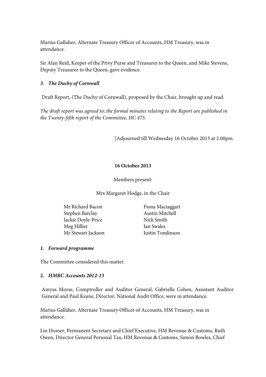Marius Gallaher, Alternate Treasury Officer of Accounts, HM Treasury, was in attendance.

Sir Alan Reid, Keeper of the Privy Purse and Treasurer to the Queen, and Mike Stevens, Deputy Treasurer to the Queen, gave evidence.

### *3. The Duchy of Cornwall*

Draft Report, (The Duchy of Cornwall), proposed by the Chair, brought up and read.

*The draft report was agreed to; the formal minutes relating to the Report are published in the Twenty-fifth report of the Committee, HC 475*.

[Adjourned till Wednesday 16 October 2013 at 2.00pm.

#### **16 October 2013**

Members present:

Mrs Margaret Hodge, in the Chair

Mr Richard Bacon Stephen Barclay Jackie Doyle-Price Meg Hillier Mr Stewart Jackson

Fiona Mactaggart Austin Mitchell Nick Smith Ian Swales Justin Tomlinson

#### *1. Forward programme*

The Committee considered this matter.

#### **2.** *HMRC Accounts 2012-13*

Amyas Morse, Comptroller and Auditor General, Gabrielle Cohen, Assistant Auditor General and Paul Keane, Director, National Audit Office, were in attendance.

Marius Gallaher, Alternate Treasury Officer of Accounts, HM Treasury, was in attendance.

Lin Homer, Permanent Secretary and Chief Executive, HM Revenue & Customs, Ruth Owen, Director General Personal Tax, HM Revenue & Customs, Simon Bowles, Chief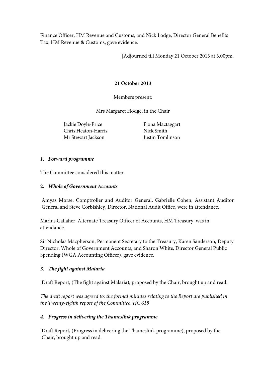Finance Officer, HM Revenue and Customs, and Nick Lodge, Director General Benefits Tax, HM Revenue & Customs, gave evidence.

[Adjourned till Monday 21 October 2013 at 3.00pm.

# **21 October 2013**

Members present:

Mrs Margaret Hodge, in the Chair

Jackie Doyle-Price Chris Heaton-Harris Mr Stewart Jackson

Fiona Mactaggart Nick Smith Justin Tomlinson

#### *1. Forward programme*

The Committee considered this matter.

# **2.** *Whole of Government Accounts*

Amyas Morse, Comptroller and Auditor General, Gabrielle Cohen, Assistant Auditor General and Steve Corbishley, Director, National Audit Office, were in attendance.

Marius Gallaher, Alternate Treasury Officer of Accounts, HM Treasury, was in attendance.

Sir Nicholas Macpherson, Permanent Secretary to the Treasury, Karen Sanderson, Deputy Director, Whole of Government Accounts, and Sharon White, Director General Public Spending (WGA Accounting Officer), gave evidence.

# *3. The fight against Malaria*

Draft Report, (The fight against Malaria), proposed by the Chair, brought up and read.

*The draft report was agreed to; the formal minutes relating to the Report are published in the Twenty-eighth report of the Committee, HC 618*

#### *4. Progress in delivering the Thameslink programme*

Draft Report, (Progress in delivering the Thameslink programme), proposed by the Chair, brought up and read.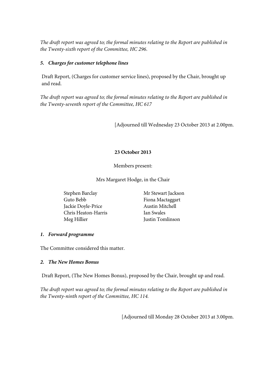*The draft report was agreed to; the formal minutes relating to the Report are published in the Twenty-sixth report of the Committee, HC 296*.

### *5. Charges for customer telephone lines*

Draft Report, (Charges for customer service lines), proposed by the Chair, brought up and read.

*The draft report was agreed to; the formal minutes relating to the Report are published in the Twenty-seventh report of the Committee, HC 617*

[Adjourned till Wednesday 23 October 2013 at 2.00pm.

# **23 October 2013**

Members present:

Mrs Margaret Hodge, in the Chair

Stephen Barclay Guto Bebb Jackie Doyle-Price Chris Heaton-Harris Meg Hillier

Mr Stewart Jackson Fiona Mactaggart Austin Mitchell Ian Swales Justin Tomlinson

# *1. Forward programme*

The Committee considered this matter.

# *2. The New Homes Bonus*

Draft Report, (The New Homes Bonus), proposed by the Chair, brought up and read.

*The draft report was agreed to; the formal minutes relating to the Report are published in the Twenty-ninth report of the Committee, HC 114.*

[Adjourned till Monday 28 October 2013 at 3.00pm.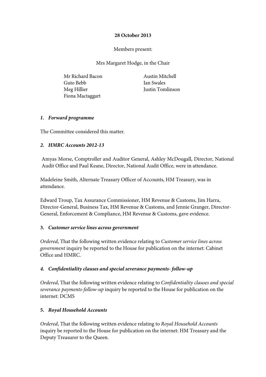### **28 October 2013**

# Members present:

Mrs Margaret Hodge, in the Chair

Mr Richard Bacon Guto Bebb Meg Hillier Fiona Mactaggart

Austin Mitchell Ian Swales Justin Tomlinson

#### *1. Forward programme*

The Committee considered this matter.

# *2. HMRC Accounts 2012-13*

Amyas Morse, Comptroller and Auditor General, Ashley McDougall, Director, National Audit Office and Paul Keane, Director, National Audit Office, were in attendance.

Madeleine Smith, Alternate Treasury Officer of Accounts, HM Treasury, was in attendance.

Edward Troup, Tax Assurance Commissioner, HM Revenue & Customs, Jim Harra, Director-General, Business Tax, HM Revenue & Customs, and Jennie Granger, Director-General, Enforcement & Compliance, HM Revenue & Customs, gave evidence.

#### **3.** *Customer service lines across government*

*Ordered*, That the following written evidence relating to *Customer service lines across government* inquiry be reported to the House for publication on the internet: Cabinet Office and HMRC.

# *4. Confidentiality clauses and special severance payments- follow-up*

*Ordered*, That the following written evidence relating to *Confidentiality clauses and special severance payments-follow-up* inquiry be reported to the House for publication on the internet: DCMS

#### **5.** *Royal Household Accounts*

*Ordered*, That the following written evidence relating to *Royal Household Accounts*  inquiry be reported to the House for publication on the internet: HM Treasury and the Deputy Treasurer to the Queen.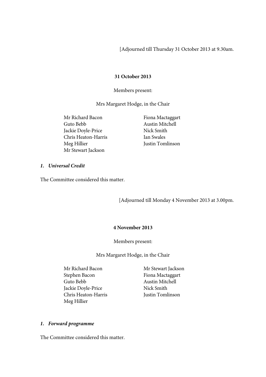[Adjourned till Thursday 31 October 2013 at 9.30am.

#### **31 October 2013**

Members present:

Mrs Margaret Hodge, in the Chair

Mr Richard Bacon Guto Bebb Jackie Doyle-Price Chris Heaton-Harris Meg Hillier Mr Stewart Jackson

Fiona Mactaggart Austin Mitchell Nick Smith Ian Swales Justin Tomlinson

#### *1. Universal Credit*

The Committee considered this matter.

[Adjourned till Monday 4 November 2013 at 3.00pm.

#### **4 November 2013**

Members present:

Mrs Margaret Hodge, in the Chair

- Mr Richard Bacon Stephen Bacon Guto Bebb Jackie Doyle-Price Chris Heaton-Harris Meg Hillier
- Mr Stewart Jackson Fiona Mactaggart Austin Mitchell Nick Smith Justin Tomlinson

#### *1. Forward programme*

The Committee considered this matter.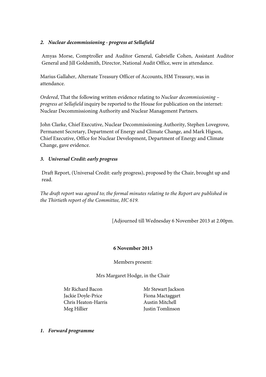# *2. Nuclear decommissioning - progress at Sellafield*

Amyas Morse, Comptroller and Auditor General, Gabrielle Cohen, Assistant Auditor General and Jill Goldsmith, Director, National Audit Office, were in attendance.

Marius Gallaher, Alternate Treasury Officer of Accounts, HM Treasury, was in attendance.

*Ordered*, That the following written evidence relating to *Nuclear decommissioning – progress at Sellafield* inquiry be reported to the House for publication on the internet: Nuclear Decommissioning Authority and Nuclear Management Partners.

John Clarke, Chief Executive, Nuclear Decommissioning Authority, Stephen Lovegrove, Permanent Secretary, Department of Energy and Climate Change, and Mark Higson, Chief Executive, Office for Nuclear Development, Department of Energy and Climate Change, gave evidence.

# *3. Universal Credit: early progress*

Draft Report, (Universal Credit: early progress), proposed by the Chair, brought up and read.

*The draft report was agreed to; the formal minutes relating to the Report are published in the Thirtieth report of the Committee, HC 619.*

[Adjourned till Wednesday 6 November 2013 at 2.00pm.

#### **6 November 2013**

Members present:

Mrs Margaret Hodge, in the Chair

Mr Richard Bacon Jackie Doyle-Price Chris Heaton-Harris Meg Hillier

Mr Stewart Jackson Fiona Mactaggart Austin Mitchell Justin Tomlinson

*1. Forward programme*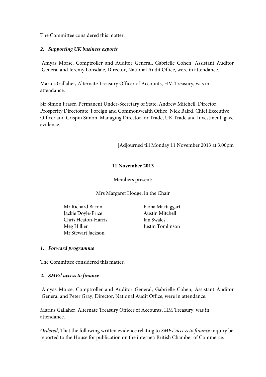The Committee considered this matter.

#### *2. Supporting UK business exports*

Amyas Morse, Comptroller and Auditor General, Gabrielle Cohen, Assistant Auditor General and Jeremy Lonsdale, Director, National Audit Office, were in attendance.

Marius Gallaher, Alternate Treasury Officer of Accounts, HM Treasury, was in attendance.

Sir Simon Fraser, Permanent Under-Secretary of State, Andrew Mitchell, Director, Prosperity Directorate, Foreign and Commonwealth Office, Nick Baird, Chief Executive Officer and Crispin Simon, Managing Director for Trade, UK Trade and Investment, gave evidence.

[Adjourned till Monday 11 November 2013 at 3.00pm

# **11 November 2013**

Members present:

Mrs Margaret Hodge, in the Chair

Mr Richard Bacon Jackie Doyle-Price Chris Heaton-Harris Meg Hillier Mr Stewart Jackson

Fiona Mactaggart Austin Mitchell Ian Swales Justin Tomlinson

#### *1. Forward programme*

The Committee considered this matter.

#### *2. SMEs' access to finance*

Amyas Morse, Comptroller and Auditor General, Gabrielle Cohen, Assistant Auditor General and Peter Gray, Director, National Audit Office, were in attendance.

Marius Gallaher, Alternate Treasury Officer of Accounts, HM Treasury, was in attendance.

*Ordered*, That the following written evidence relating to *SMEs' access to finance* inquiry be reported to the House for publication on the internet: British Chamber of Commerce.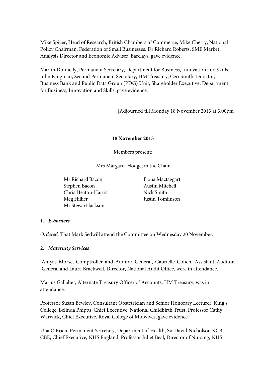Mike Spicer, Head of Research, British Chambers of Commerce, Mike Cherry, National Policy Chairman, Federation of Small Businesses, Dr Richard Roberts, SME Market Analysis Director and Economic Adviser, Barclays, gave evidence.

Martin Donnelly, Permanent Secretary, Department for Business, Innovation and Skills, John Kingman, Second Permanent Secretary, HM Treasury, Ceri Smith, Director, Business Bank and Public Data Group (PDG) Unit, Shareholder Executive, Department for Business, Innovation and Skills, gave evidence.

[Adjourned till Monday 18 November 2013 at 3.00pm

#### **18 November 2013**

Members present:

Mrs Margaret Hodge, in the Chair

Mr Richard Bacon Stephen Bacon Chris Heaton-Harris Meg Hillier Mr Stewart Jackson

Fiona Mactaggart Austin Mitchell Nick Smith Justin Tomlinson

#### *1. E-borders*

*Ordered,* That Mark Sedwill attend the Committee on Wednesday 20 November.

#### **2.** *Maternity Services*

Amyas Morse, Comptroller and Auditor General, Gabrielle Cohen, Assistant Auditor General and Laura Brackwell, Director, National Audit Office, were in attendance.

Marius Gallaher, Alternate Treasury Officer of Accounts, HM Treasury, was in attendance.

Professor Susan Bewley, Consultant Obstetrician and Senior Honorary Lecturer, King's College, Belinda Phipps, Chief Executive, National Childbirth Trust, Professor Cathy Warwick, Chief Executive, Royal College of Midwives, gave evidence.

Una O'Brien, Permanent Secretary, Department of Health, Sir David Nicholson KCB CBE, Chief Executive, NHS England, Professor Juliet Beal, Director of Nursing, NHS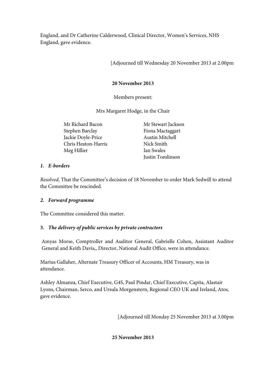England, and Dr Catherine Calderwood, Clinical Director, Women's Services, NHS England, gave evidence.

[Adjourned till Wednesday 20 November 2013 at 2.00pm

# **20 November 2013**

Members present:

Mrs Margaret Hodge, in the Chair

Mr Richard Bacon Stephen Barclay Jackie Doyle-Price Chris Heaton-Harris Meg Hillier

Mr Stewart Jackson Fiona Mactaggart Austin Mitchell Nick Smith Ian Swales Justin Tomlinson

#### *1. E-borders*

*Resolved,* That the Committee's decision of 18 November to order Mark Sedwill to attend the Committee be rescinded.

#### *2. Forward programme*

The Committee considered this matter.

# **3.** *The delivery of public services by private contractors*

Amyas Morse, Comptroller and Auditor General, Gabrielle Cohen, Assistant Auditor General and Keith Davis,, Director, National Audit Office, were in attendance.

Marius Gallaher, Alternate Treasury Officer of Accounts, HM Treasury, was in attendance.

Ashley Almanza, Chief Executive, G4S, Paul Pindar, Chief Executive, Capita, Alastair Lyons, Chairman, Serco, and Ursula Morgenstern, Regional CEO UK and Ireland, Atos, gave evidence.

[Adjourned till Monday 25 November 2013 at 3.00pm

**25 November 2013**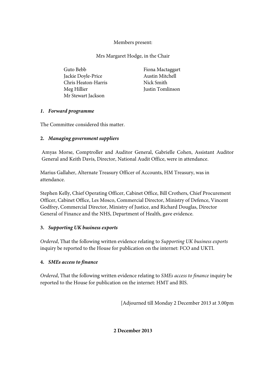# Members present:

Mrs Margaret Hodge, in the Chair

| Guto Bebb           | Fiona Mactaggart       |
|---------------------|------------------------|
| Jackie Doyle-Price  | <b>Austin Mitchell</b> |
| Chris Heaton-Harris | Nick Smith             |
| Meg Hillier         | Justin Tomlinson       |
| Mr Stewart Jackson  |                        |

# *1. Forward programme*

The Committee considered this matter.

# **2.** *Managing government suppliers*

Amyas Morse, Comptroller and Auditor General, Gabrielle Cohen, Assistant Auditor General and Keith Davis, Director, National Audit Office, were in attendance.

Marius Gallaher, Alternate Treasury Officer of Accounts, HM Treasury, was in attendance.

Stephen Kelly, Chief Operating Officer, Cabinet Office, Bill Crothers, Chief Procurement Officer, Cabinet Office, Les Mosco, Commercial Director, Ministry of Defence, Vincent Godfrey, Commercial Director, Ministry of Justice, and Richard Douglas, Director General of Finance and the NHS, Department of Health, gave evidence.

# **3.** *Supporting UK business exports*

*Ordered*, That the following written evidence relating to *Supporting UK business exports*  inquiry be reported to the House for publication on the internet: FCO and UKTI.

# **4.** *SMEs access to finance*

*Ordered*, That the following written evidence relating to *SMEs access to finance* inquiry be reported to the House for publication on the internet: HMT and BIS.

[Adjourned till Monday 2 December 2013 at 3.00pm

**2 December 2013**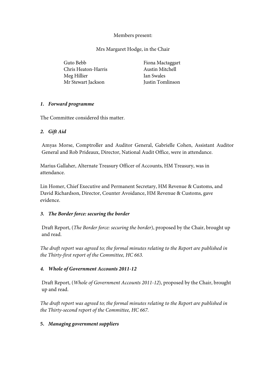### Members present:

Mrs Margaret Hodge, in the Chair

Guto Bebb Chris Heaton-Harris Meg Hillier Mr Stewart Jackson

Fiona Mactaggart Austin Mitchell Ian Swales Justin Tomlinson

### *1. Forward programme*

The Committee considered this matter.

### *2. Gift Aid*

Amyas Morse, Comptroller and Auditor General, Gabrielle Cohen, Assistant Auditor General and Rob Prideaux, Director, National Audit Office, were in attendance.

Marius Gallaher, Alternate Treasury Officer of Accounts, HM Treasury, was in attendance.

Lin Homer, Chief Executive and Permanent Secretary, HM Revenue & Customs, and David Richardson, Director, Counter Avoidance, HM Revenue & Customs, gave evidence.

# *3. The Border force: securing the border*

Draft Report, (*The Border force: securing the border*), proposed by the Chair, brought up and read.

*The draft report was agreed to; the formal minutes relating to the Report are published in the Thirty-first report of the Committee, HC 663.*

# *4. Whole of Government Accounts 2011-12*

Draft Report, (*Whole of Government Accounts 2011-12*), proposed by the Chair, brought up and read.

*The draft report was agreed to; the formal minutes relating to the Report are published in the Thirty-second report of the Committee, HC 667.*

# **5.** *Managing government suppliers*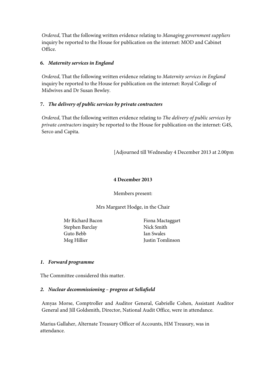*Ordered*, That the following written evidence relating to *Managing government suppliers* inquiry be reported to the House for publication on the internet: MOD and Cabinet Office.

### **6.** *Maternity services in England*

*Ordered*, That the following written evidence relating to *Maternity services in England* inquiry be reported to the House for publication on the internet: Royal College of Midwives and Dr Susan Bewley.

### **7.** *The delivery of public services by private contractors*

*Ordered*, That the following written evidence relating to *The delivery of public services by private contractors* inquiry be reported to the House for publication on the internet: G4S, Serco and Capita.

[Adjourned till Wednesday 4 December 2013 at 2.00pm

### **4 December 2013**

Members present:

Mrs Margaret Hodge, in the Chair

Mr Richard Bacon Stephen Barclay Guto Bebb Meg Hillier

Fiona Mactaggart Nick Smith Ian Swales Justin Tomlinson

# *1. Forward programme*

The Committee considered this matter.

# *2. Nuclear decommissioning – progress at Sellafield*

Amyas Morse, Comptroller and Auditor General, Gabrielle Cohen, Assistant Auditor General and Jill Goldsmith, Director, National Audit Office, were in attendance.

Marius Gallaher, Alternate Treasury Officer of Accounts, HM Treasury, was in attendance.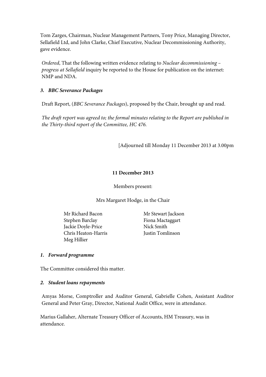Tom Zarges, Chairman, Nuclear Management Partners, Tony Price, Managing Director, Sellafield Ltd, and John Clarke, Chief Executive, Nuclear Decommissioning Authority, gave evidence.

*Ordered*, That the following written evidence relating to *Nuclear decommissioning – progress at Sellafield* inquiry be reported to the House for publication on the internet: NMP and NDA.

### *3. BBC Severance Packages*

Draft Report, (*BBC Severance Packages*), proposed by the Chair, brought up and read.

*The draft report was agreed to; the formal minutes relating to the Report are published in the Thirty-third report of the Committee, HC 476.*

[Adjourned till Monday 11 December 2013 at 3.00pm

### **11 December 2013**

Members present:

Mrs Margaret Hodge, in the Chair

Mr Richard Bacon Stephen Barclay Jackie Doyle-Price Chris Heaton-Harris Meg Hillier

Mr Stewart Jackson Fiona Mactaggart Nick Smith Justin Tomlinson

### *1. Forward programme*

The Committee considered this matter.

#### *2. Student loans repayments*

Amyas Morse, Comptroller and Auditor General, Gabrielle Cohen, Assistant Auditor General and Peter Gray, Director, National Audit Office, were in attendance.

Marius Gallaher, Alternate Treasury Officer of Accounts, HM Treasury, was in attendance.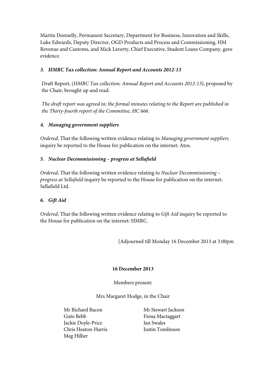Martin Donnelly, Permanent Secretary, Department for Business, Innovation and Skills, Luke Edwards, Deputy Director, OGD Products and Process and Commissioning, HM Revenue and Customs, and Mick Laverty, Chief Executive, Student Loans Company, gave evidence.

# *3. HMRC Tax collection: Annual Report and Accounts 2012-13*

Draft Report, (*HMRC Tax collection: Annual Report and Accounts 2012-13*), proposed by the Chair, brought up and read.

*The draft report was agreed to; the formal minutes relating to the Report are published in the Thirty-fourth report of the Committee, HC 666.*

# *4. Managing government suppliers*

*Ordered*, That the following written evidence relating to *Managing government suppliers*  inquiry be reported to the House for publication on the internet: Atos.

### *5. Nuclear Decommissioning – progress at Sellafield*

*Ordered*, That the following written evidence relating to *Nuclear Decommissioning – progress at Sellafield* inquiry be reported to the House for publication on the internet: Sellafield Ltd.

# *6. Gift Aid*

*Ordered*, That the following written evidence relating to *Gift Aid* inquiry be reported to the House for publication on the internet: HMRC.

[Adjourned till Monday 16 December 2013 at 3.00pm

### **16 December 2013**

Members present:

Mrs Margaret Hodge, in the Chair

Mr Richard Bacon Guto Bebb Jackie Doyle-Price Chris Heaton-Harris Meg Hillier

Mr Stewart Jackson Fiona Mactaggart Ian Swales Justin Tomlinson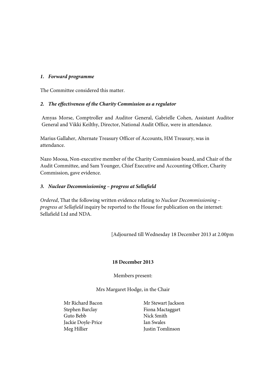### *1. Forward programme*

The Committee considered this matter.

### *2. The effectiveness of the Charity Commission as a regulator*

Amyas Morse, Comptroller and Auditor General, Gabrielle Cohen, Assistant Auditor General and Vikki Keilthy, Director, National Audit Office, were in attendance.

Marius Gallaher, Alternate Treasury Officer of Accounts, HM Treasury, was in attendance.

Nazo Moosa, Non-executive member of the Charity Commission board, and Chair of the Audit Committee, and Sam Younger, Chief Executive and Accounting Officer, Charity Commission, gave evidence.

### *3. Nuclear Decommissioning – progress at Sellafield*

*Ordered*, That the following written evidence relating to *Nuclear Decommissioning – progress at Sellafield* inquiry be reported to the House for publication on the internet: Sellafield Ltd and NDA.

[Adjourned till Wednesday 18 December 2013 at 2.00pm

### **18 December 2013**

Members present:

Mrs Margaret Hodge, in the Chair

Mr Richard Bacon Stephen Barclay Guto Bebb Jackie Doyle-Price Meg Hillier

Mr Stewart Jackson Fiona Mactaggart Nick Smith Ian Swales Justin Tomlinson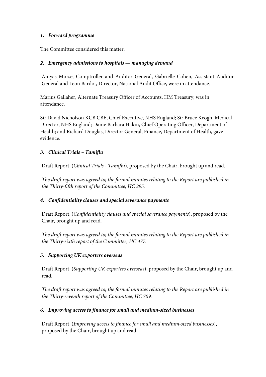### *1. Forward programme*

The Committee considered this matter.

### *2. Emergency admissions to hospitals — managing demand*

Amyas Morse, Comptroller and Auditor General, Gabrielle Cohen, Assistant Auditor General and Leon Bardot, Director, National Audit Office, were in attendance.

Marius Gallaher, Alternate Treasury Officer of Accounts, HM Treasury, was in attendance.

Sir David Nicholson KCB CBE, Chief Executive, NHS England; Sir Bruce Keogh, Medical Director, NHS England; Dame Barbara Hakin, Chief Operating Officer, Department of Health; and Richard Douglas, Director General, Finance, Department of Health, gave evidence.

# *3. Clinical Trials – Tamiflu*

Draft Report, (*Clinical Trials - Tamiflu*), proposed by the Chair, brought up and read.

*The draft report was agreed to; the formal minutes relating to the Report are published in the Thirty-fifth report of the Committee, HC 295.*

# *4. Confidentiality clauses and special severance payments*

Draft Report, (*Confidentiality clauses and special severance payments*), proposed by the Chair, brought up and read.

*The draft report was agreed to; the formal minutes relating to the Report are published in the Thirty-sixth report of the Committee, HC 477.*

### *5. Supporting UK exporters overseas*

Draft Report, (*Supporting UK exporters overseas*), proposed by the Chair, brought up and read.

*The draft report was agreed to; the formal minutes relating to the Report are published in the Thirty-seventh report of the Committee, HC 709.*

# *6. Improving access to finance for small and medium-sized businesses*

Draft Report, (*Improving access to finance for small and medium-sized businesses*), proposed by the Chair, brought up and read.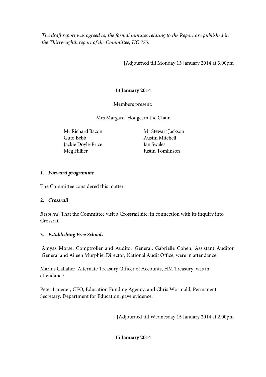*The draft report was agreed to; the formal minutes relating to the Report are published in the Thirty-eighth report of the Committee, HC 775.*

[Adjourned till Monday 13 January 2014 at 3.00pm

# **13 January 2014**

Members present:

Mrs Margaret Hodge, in the Chair

Mr Richard Bacon Guto Bebb Jackie Doyle-Price Meg Hillier

Mr Stewart Jackson Austin Mitchell Ian Swales Justin Tomlinson

# *1. Forward programme*

The Committee considered this matter.

# **2.** *Crossrail*

*Resolved,* That the Committee visit a Crossrail site, in connection with its inquiry into Crossrail.

# **3.** *Establishing Free Schools*

Amyas Morse, Comptroller and Auditor General, Gabrielle Cohen, Assistant Auditor General and Aileen Murphie, Director, National Audit Office, were in attendance.

Marius Gallaher, Alternate Treasury Officer of Accounts, HM Treasury, was in attendance.

Peter Lauener, CEO, Education Funding Agency, and Chris Wormald, Permanent Secretary, Department for Education, gave evidence.

[Adjourned till Wednesday 15 January 2014 at 2.00pm

**15 January 2014**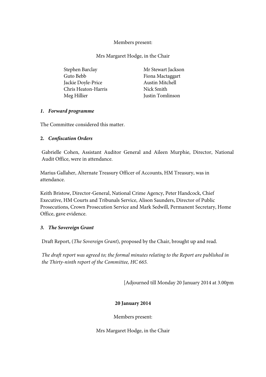### Members present:

Mrs Margaret Hodge, in the Chair

| Stephen Barclay     | Mr Stewart Jackson      |
|---------------------|-------------------------|
| Guto Bebb           | Fiona Mactaggart        |
| Jackie Doyle-Price  | <b>Austin Mitchell</b>  |
| Chris Heaton-Harris | Nick Smith              |
| Meg Hillier         | <b>Justin Tomlinson</b> |

#### *1. Forward programme*

The Committee considered this matter.

#### **2.** *Confiscation Orders*

Gabrielle Cohen, Assistant Auditor General and Aileen Murphie, Director, National Audit Office, were in attendance.

Marius Gallaher, Alternate Treasury Officer of Accounts, HM Treasury, was in attendance.

Keith Bristow, Director-General, National Crime Agency, Peter Handcock, Chief Executive, HM Courts and Tribunals Service, Alison Saunders, Director of Public Prosecutions, Crown Prosecution Service and Mark Sedwill, Permanent Secretary, Home Office, gave evidence.

#### *3. The Sovereign Grant*

Draft Report, (*The Sovereign Grant*), proposed by the Chair, brought up and read.

*The draft report was agreed to; the formal minutes relating to the Report are published in the Thirty-ninth report of the Committee, HC 665.*

[Adjourned till Monday 20 January 2014 at 3.00pm

### **20 January 2014**

Members present:

Mrs Margaret Hodge, in the Chair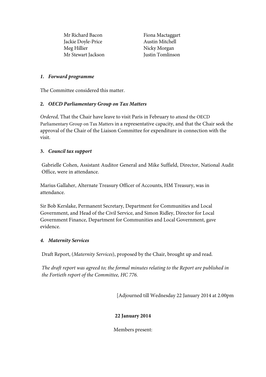Mr Richard Bacon Jackie Doyle-Price Meg Hillier Mr Stewart Jackson

Fiona Mactaggart Austin Mitchell Nicky Morgan Justin Tomlinson

### *1. Forward programme*

The Committee considered this matter.

### **2.** *OECD Parliamentary Group on Tax Matters*

*Ordered,* That the Chair have leave to visit Paris in February to attend the OECD Parliamentary Group on Tax Matters in a representative capacity, and that the Chair seek the approval of the Chair of the Liaison Committee for expenditure in connection with the visit.

#### **3.** *Council tax support*

Gabrielle Cohen, Assistant Auditor General and Mike Suffield, Director, National Audit Office, were in attendance.

Marius Gallaher, Alternate Treasury Officer of Accounts, HM Treasury, was in attendance.

Sir Bob Kerslake, Permanent Secretary, Department for Communities and Local Government, and Head of the Civil Service, and Simon Ridley, Director for Local Government Finance, Department for Communities and Local Government, gave evidence.

### *4. Maternity Services*

Draft Report, (*Maternity Services*), proposed by the Chair, brought up and read.

*The draft report was agreed to; the formal minutes relating to the Report are published in the Fortieth report of the Committee, HC 776.*

[Adjourned till Wednesday 22 January 2014 at 2.00pm

### **22 January 2014**

Members present: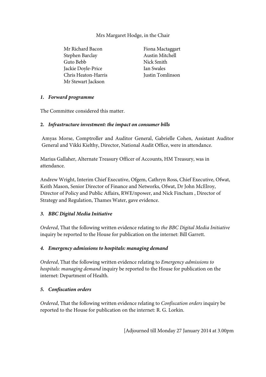## Mrs Margaret Hodge, in the Chair

Mr Richard Bacon Stephen Barclay Guto Bebb Jackie Doyle-Price Chris Heaton-Harris Mr Stewart Jackson

Fiona Mactaggart Austin Mitchell Nick Smith Ian Swales Justin Tomlinson

### *1. Forward programme*

The Committee considered this matter.

### **2.** *Infrastructure investment: the impact on consumer bills*

Amyas Morse, Comptroller and Auditor General, Gabrielle Cohen, Assistant Auditor General and Vikki Kielthy, Director, National Audit Office, were in attendance.

Marius Gallaher, Alternate Treasury Officer of Accounts, HM Treasury, was in attendance.

Andrew Wright, Interim Chief Executive, Ofgem, Cathryn Ross, Chief Executive, Ofwat, Keith Mason, Senior Director of Finance and Networks, Ofwat, Dr John McElroy, Director of Policy and Public Affairs, RWE/npower, and Nick Fincham , Director of Strategy and Regulation, Thames Water, gave evidence.

### *3. BBC Digital Media Initiative*

*Ordered*, That the following written evidence relating to *the BBC Digital Media Initiative*  inquiry be reported to the House for publication on the internet: Bill Garrett.

### *4. Emergency admissions to hospitals: managing demand*

*Ordered*, That the following written evidence relating to *Emergency admissions to hospitals: managing demand* inquiry be reported to the House for publication on the internet: Department of Health.

### *5. Confiscation orders*

*Ordered*, That the following written evidence relating to *Confiscation orders* inquiry be reported to the House for publication on the internet: R. G. Lorkin.

[Adjourned till Monday 27 January 2014 at 3.00pm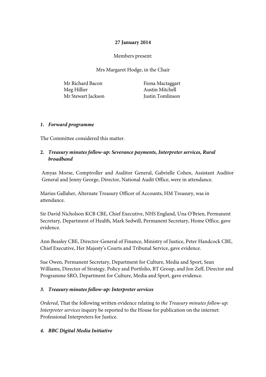## **27 January 2014**

Members present:

Mrs Margaret Hodge, in the Chair

Mr Richard Bacon Meg Hillier Mr Stewart Jackson

Fiona Mactaggart Austin Mitchell Justin Tomlinson

### *1. Forward programme*

The Committee considered this matter.

## **2.** *Treasury minutes follow-up: Severance payments, Interpreter services, Rural broadband*

Amyas Morse, Comptroller and Auditor General, Gabrielle Cohen, Assistant Auditor General and Jenny George, Director, National Audit Office, were in attendance.

Marius Gallaher, Alternate Treasury Officer of Accounts, HM Treasury, was in attendance.

Sir David Nicholson KCB CBE, Chief Executive, NHS England, Una O'Brien, Permanent Secretary, Department of Health, Mark Sedwill, Permanent Secretary, Home Office, gave evidence.

Ann Beasley CBE, Director-General of Finance, Ministry of Justice, Peter Handcock CBE, Chief Executive, Her Majesty's Courts and Tribunal Service, gave evidence.

Sue Owen, Permanent Secretary, Department for Culture, Media and Sport, Sean Williams, Director of Strategy, Policy and Portfolio, BT Group, and Jon Zeff, Director and Programme SRO, Department for Culture, Media and Sport, gave evidence.

### *3. Treasury minutes follow-up: Interpreter services*

*Ordered*, That the following written evidence relating to *the Treasury minutes follow-up: Interpreter services* inquiry be reported to the House for publication on the internet: Professional Interpreters for Justice.

### *4. BBC Digital Media Initiative*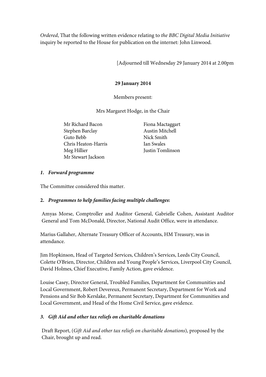*Ordered*, That the following written evidence relating to *the BBC Digital Media Initiative*  inquiry be reported to the House for publication on the internet: John Linwood.

[Adjourned till Wednesday 29 January 2014 at 2.00pm

### **29 January 2014**

Members present:

Mrs Margaret Hodge, in the Chair

Mr Richard Bacon Stephen Barclay Guto Bebb Chris Heaton-Harris Meg Hillier Mr Stewart Jackson

Fiona Mactaggart Austin Mitchell Nick Smith Ian Swales Justin Tomlinson

### *1. Forward programme*

The Committee considered this matter.

### **2.** *Programmes to help families facing multiple challenges***:**

Amyas Morse, Comptroller and Auditor General, Gabrielle Cohen, Assistant Auditor General and Tom McDonald, Director, National Audit Office, were in attendance.

Marius Gallaher, Alternate Treasury Officer of Accounts, HM Treasury, was in attendance.

Jim Hopkinson, Head of Targeted Services, Children's Services, Leeds City Council, Colette O'Brien, Director, Children and Young People's Services, Liverpool City Council, David Holmes, Chief Executive, Family Action, gave evidence.

Louise Casey, Director General, Troubled Families, Department for Communities and Local Government, Robert Devereux, Permanent Secretary, Department for Work and Pensions and Sir Bob Kerslake, Permanent Secretary, Department for Communities and Local Government, and Head of the Home Civil Service, gave evidence.

### *3. Gift Aid and other tax reliefs on charitable donations*

Draft Report, (*Gift Aid and other tax reliefs on charitable donations*), proposed by the Chair, brought up and read.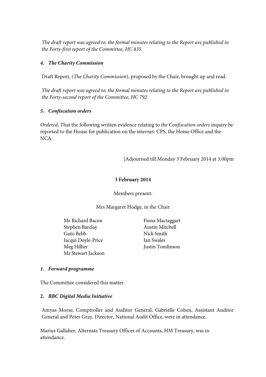*The draft report was agreed to; the formal minutes relating to the Report are published in the Forty-first report of the Committee, HC 835.*

### *4. The Charity Commission*

Draft Report, (*The Charity Commission*), proposed by the Chair, brought up and read.

*The draft report was agreed to; the formal minutes relating to the Report are published in the Forty-second report of the Committee, HC 792*

### *5. Confiscation orders*

*Ordered*, That the following written evidence relating to *the Confiscation orders* inquiry be reported to the House for publication on the internet: CPS, the Home Office and the NCA.

[Adjourned till Monday 3 February 2014 at 3.00pm

### **3 February 2014**

Members present:

Mrs Margaret Hodge, in the Chair

Mr Richard Bacon Stephen Barclay Guto Bebb Jacqui Doyle-Price Meg Hillier Mr Stewart Jackson

Fiona Mactaggart Austin Mitchell Nick Smith Ian Swales Justin Tomlinson

### *1. Forward programme*

The Committee considered this matter.

### **2.** *BBC Digital Media Initiative*

Amyas Morse, Comptroller and Auditor General, Gabrielle Cohen, Assistant Auditor General and Peter Gray, Director, National Audit Office, were in attendance.

Marius Gallaher, Alternate Treasury Officer of Accounts, HM Treasury, was in attendance.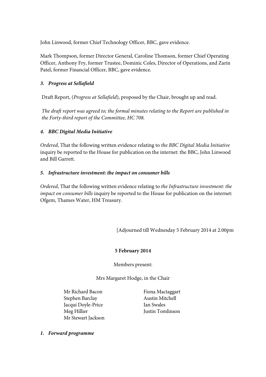John Linwood, former Chief Technology Officer, BBC, gave evidence.

Mark Thompson, former Director General, Caroline Thomson, former Chief Operating Officer, Anthony Fry, former Trustee, Dominic Coles, Director of Operations, and Zarin Patel, former Financial Officer, BBC, gave evidence.

## *3. Progress at Sellafield*

Draft Report, (*Progress at Sellafield*), proposed by the Chair, brought up and read.

*The draft report was agreed to; the formal minutes relating to the Report are published in the Forty-third report of the Committee, HC 708.*

### *4. BBC Digital Media Initiative*

*Ordered*, That the following written evidence relating to *the BBC Digital Media Initiative*  inquiry be reported to the House for publication on the internet: the BBC, John Linwood and Bill Garrett.

### *5. Infrastructure investment: the impact on consumer bills*

*Ordered*, That the following written evidence relating to *the Infrastructure investment: the impact on consumer bills* inquiry be reported to the House for publication on the internet: Ofgem, Thames Water, HM Treasury.

[Adjourned till Wednesday 5 February 2014 at 2.00pm

### **5 February 2014**

Members present:

Mrs Margaret Hodge, in the Chair

Mr Richard Bacon Stephen Barclay Jacqui Doyle-Price Meg Hillier Mr Stewart Jackson

Fiona Mactaggart Austin Mitchell Ian Swales Justin Tomlinson

*1. Forward programme*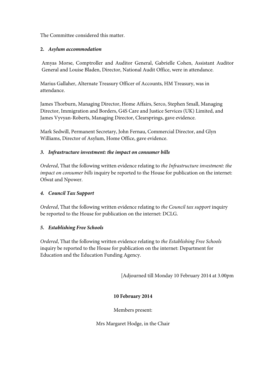### The Committee considered this matter.

## **2.** *Asylum accommodation*

Amyas Morse, Comptroller and Auditor General, Gabrielle Cohen, Assistant Auditor General and Louise Bladen, Director, National Audit Office, were in attendance.

Marius Gallaher, Alternate Treasury Officer of Accounts, HM Treasury, was in attendance.

James Thorburn, Managing Director, Home Affairs, Serco, Stephen Small, Managing Director, Immigration and Borders, G4S Care and Justice Services (UK) Limited, and James Vyvyan-Roberts, Managing Director, Clearsprings, gave evidence.

Mark Sedwill, Permanent Secretary, John Fernau, Commercial Director, and Glyn Williams, Director of Asylum, Home Office, gave evidence.

### *3. Infrastructure investment: the impact on consumer bills*

*Ordered*, That the following written evidence relating to *the Infrastructure investment: the impact on consumer bills* inquiry be reported to the House for publication on the internet: Ofwat and Npower.

# *4. Council Tax Support*

*Ordered*, That the following written evidence relating to *the Council tax support* inquiry be reported to the House for publication on the internet: DCLG.

# *5. Establishing Free Schools*

*Ordered*, That the following written evidence relating to *the Establishing Free Schools*  inquiry be reported to the House for publication on the internet: Department for Education and the Education Funding Agency.

[Adjourned till Monday 10 February 2014 at 3.00pm

# **10 February 2014**

Members present:

Mrs Margaret Hodge, in the Chair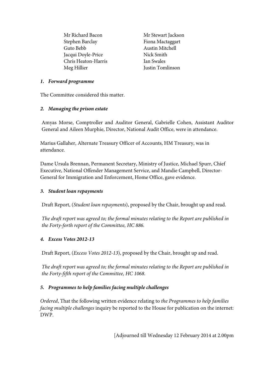Mr Richard Bacon Stephen Barclay Guto Bebb Jacqui Doyle-Price Chris Heaton-Harris Meg Hillier

Mr Stewart Jackson Fiona Mactaggart Austin Mitchell Nick Smith Ian Swales Justin Tomlinson

### *1. Forward programme*

The Committee considered this matter.

### *2. Managing the prison estate*

Amyas Morse, Comptroller and Auditor General, Gabrielle Cohen, Assistant Auditor General and Aileen Murphie, Director, National Audit Office, were in attendance.

Marius Gallaher, Alternate Treasury Officer of Accounts, HM Treasury, was in attendance.

Dame Ursula Brennan, Permanent Secretary, Ministry of Justice, Michael Spurr, Chief Executive, National Offender Management Service, and Mandie Campbell, Director-General for Immigration and Enforcement, Home Office, gave evidence.

## *3. Student loan repayments*

Draft Report, (*Student loan repayments*), proposed by the Chair, brought up and read.

*The draft report was agreed to; the formal minutes relating to the Report are published in the Forty-forth report of the Committee, HC 886.*

# *4. Excess Votes 2012-13*

Draft Report, (*Excess Votes 2012-13*), proposed by the Chair, brought up and read.

*The draft report was agreed to; the formal minutes relating to the Report are published in the Forty-fifth report of the Committee, HC 1068.*

# *5. Programmes to help families facing multiple challenges*

*Ordered*, That the following written evidence relating to *the Programmes to help families facing multiple challenges* inquiry be reported to the House for publication on the internet: DWP.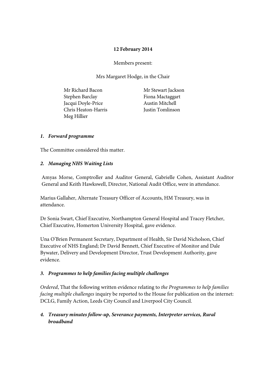### **12 February 2014**

Members present:

Mrs Margaret Hodge, in the Chair

Mr Richard Bacon Stephen Barclay Jacqui Doyle-Price Chris Heaton-Harris Meg Hillier

Mr Stewart Jackson Fiona Mactaggart Austin Mitchell Justin Tomlinson

### *1. Forward programme*

The Committee considered this matter.

### *2. Managing NHS Waiting Lists*

Amyas Morse, Comptroller and Auditor General, Gabrielle Cohen, Assistant Auditor General and Keith Hawkswell, Director, National Audit Office, were in attendance.

Marius Gallaher, Alternate Treasury Officer of Accounts, HM Treasury, was in attendance.

Dr Sonia Swart, Chief Executive, Northampton General Hospital and Tracey Fletcher, Chief Executive, Homerton University Hospital, gave evidence.

Una O'Brien Permanent Secretary, Department of Health, Sir David Nicholson, Chief Executive of NHS England; Dr David Bennett, Chief Executive of Monitor and Dale Bywater, Delivery and Development Director, Trust Development Authority, gave evidence.

### *3. Programmes to help families facing multiple challenges*

*Ordered*, That the following written evidence relating to *the Programmes to help families facing multiple challenges* inquiry be reported to the House for publication on the internet: DCLG, Family Action, Leeds City Council and Liverpool City Council.

# *4. Treasury minutes follow-up, Severance payments, Interpreter services, Rural broadband*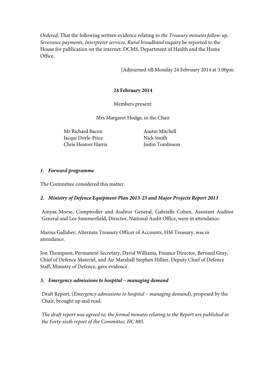*Ordered*, That the following written evidence relating to *the Treasury minutes follow-up, Severance payments, Interpreter services, Rural broadband* inquiry be reported to the House for publication on the internet: DCMS, Department of Health and the Home Office.

[Adjourned till Monday 24 February 2014 at 3.00pm

### **24 February 2014**

Members present:

Mrs Margaret Hodge, in the Chair

Mr Richard Bacon Jacqui Doyle-Price Chris Heaton-Harris

Austin Mitchell Nick Smith Justin Tomlinson

### *1. Forward programme*

The Committee considered this matter.

# *2. Ministry of Defence Equipment Plan 2013-23 and Major Projects Report 2013*

Amyas Morse, Comptroller and Auditor General, Gabrielle Cohen, Assistant Auditor General and Lee Summerfield, Director, National Audit Office, were in attendance.

Marius Gallaher, Alternate Treasury Officer of Accounts, HM Treasury, was in attendance.

Jon Thompson, Permanent Secretary, David Williams, Finance Director, Bernard Gray, Chief of Defence Materiel, and Air Marshall Stephen Hillier, Deputy Chief of Defence Staff, Ministry of Defence, gave evidence.

### *3. Emergency admissions to hospital – managing demand*

Draft Report, (*Emergency admissions to hospital – managing demand*), proposed by the Chair, brought up and read.

*The draft report was agreed to; the formal minutes relating to the Report are published in the Forty-sixth report of the Committee, HC 885.*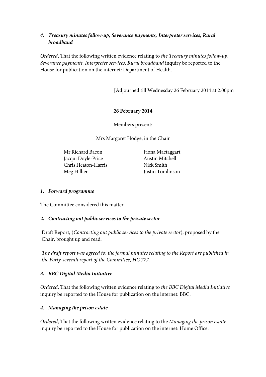### *4. Treasury minutes follow-up, Severance payments, Interpreter services, Rural broadband*

*Ordered*, That the following written evidence relating to *the Treasury minutes follow-up, Severance payments, Interpreter services, Rural broadband* inquiry be reported to the House for publication on the internet: Department of Health.

[Adjourned till Wednesday 26 February 2014 at 2.00pm

### **26 February 2014**

Members present:

Mrs Margaret Hodge, in the Chair

Mr Richard Bacon Jacqui Doyle-Price Chris Heaton-Harris Meg Hillier

Fiona Mactaggart Austin Mitchell Nick Smith Justin Tomlinson

## *1. Forward programme*

The Committee considered this matter.

### *2. Contracting out public services to the private sector*

Draft Report, (*Contracting out public services to the private sector*), proposed by the Chair, brought up and read.

*The draft report was agreed to; the formal minutes relating to the Report are published in the Forty-seventh report of the Committee, HC 777.*

# *3. BBC Digital Media Initiative*

*Ordered*, That the following written evidence relating to *the BBC Digital Media Initiative* inquiry be reported to the House for publication on the internet: BBC.

# *4. Managing the prison estate*

*Ordered*, That the following written evidence relating to the *Managing the prison estate* inquiry be reported to the House for publication on the internet: Home Office.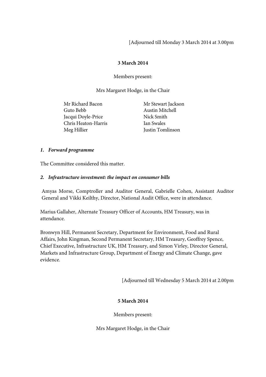[Adjourned till Monday 3 March 2014 at 3.00pm

### **3 March 2014**

Members present:

Mrs Margaret Hodge, in the Chair

Mr Richard Bacon Guto Bebb Jacqui Doyle-Price Chris Heaton-Harris Meg Hillier

Mr Stewart Jackson Austin Mitchell Nick Smith Ian Swales Justin Tomlinson

### *1. Forward programme*

The Committee considered this matter.

### *2. Infrastructure investment: the impact on consumer bills*

Amyas Morse, Comptroller and Auditor General, Gabrielle Cohen, Assistant Auditor General and Vikki Keilthy, Director, National Audit Office, were in attendance.

Marius Gallaher, Alternate Treasury Officer of Accounts, HM Treasury, was in attendance.

Bronwyn Hill, Permanent Secretary, Department for Environment, Food and Rural Affairs, John Kingman, Second Permanent Secretary, HM Treasury, Geoffrey Spence, Chief Executive, Infrastructure UK, HM Treasury, and Simon Virley, Director General, Markets and Infrastructure Group, Department of Energy and Climate Change, gave evidence.

[Adjourned till Wednesday 5 March 2014 at 2.00pm

# **5 March 2014**

Members present:

Mrs Margaret Hodge, in the Chair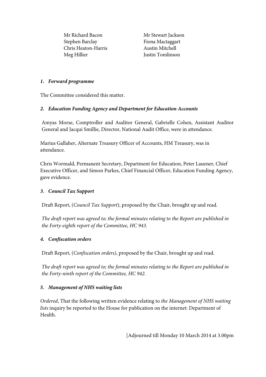Mr Richard Bacon Stephen Barclay Chris Heaton-Harris Meg Hillier

Mr Stewart Jackson Fiona Mactaggart Austin Mitchell Justin Tomlinson

### *1. Forward programme*

The Committee considered this matter.

# *2. Education Funding Agency and Department for Education Accounts*

Amyas Morse, Comptroller and Auditor General, Gabrielle Cohen, Assistant Auditor General and Jacqui Smillie, Director, National Audit Office, were in attendance.

Marius Gallaher, Alternate Treasury Officer of Accounts, HM Treasury, was in attendance.

Chris Wormald, Permanent Secretary, Department for Education, Peter Lauener, Chief Executive Officer, and Simon Parkes, Chief Financial Officer, Education Funding Agency, gave evidence.

# *3. Council Tax Support*

Draft Report, (*Council Tax Support*), proposed by the Chair, brought up and read.

*The draft report was agreed to; the formal minutes relating to the Report are published in the Forty-eighth report of the Committee, HC 943.*

# *4. Confiscation orders*

Draft Report, (*Confiscation orders)*, proposed by the Chair, brought up and read.

*The draft report was agreed to; the formal minutes relating to the Report are published in the Forty-ninth report of the Committee, HC 942.*

# *5. Management of NHS waiting lists*

*Ordered*, That the following written evidence relating to *the Management of NHS waiting lists* inquiry be reported to the House for publication on the internet: Department of Health.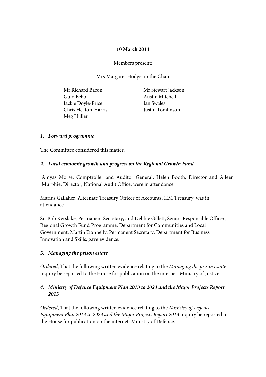### **10 March 2014**

Members present:

Mrs Margaret Hodge, in the Chair

Mr Richard Bacon Guto Bebb Jackie Doyle-Price Chris Heaton-Harris Meg Hillier

Mr Stewart Jackson Austin Mitchell Ian Swales Justin Tomlinson

### *1. Forward programme*

The Committee considered this matter.

### *2. Local economic growth and progress on the Regional Growth Fund*

Amyas Morse, Comptroller and Auditor General, Helen Booth, Director and Aileen Murphie, Director, National Audit Office, were in attendance.

Marius Gallaher, Alternate Treasury Officer of Accounts, HM Treasury, was in attendance.

Sir Bob Kerslake, Permanent Secretary, and Debbie Gillett, Senior Responsible Officer, Regional Growth Fund Programme, Department for Communities and Local Government, Martin Donnelly, Permanent Secretary, Department for Business Innovation and Skills, gave evidence.

### *3. Managing the prison estate*

*Ordered*, That the following written evidence relating to the *Managing the prison estate* inquiry be reported to the House for publication on the internet: Ministry of Justice.

### *4. Ministry of Defence Equipment Plan 2013 to 2023 and the Major Projects Report 2013*

*Ordered*, That the following written evidence relating to the *Ministry of Defence Equipment Plan 2013 to 2023 and the Major Projects Report 2013* inquiry be reported to the House for publication on the internet: Ministry of Defence.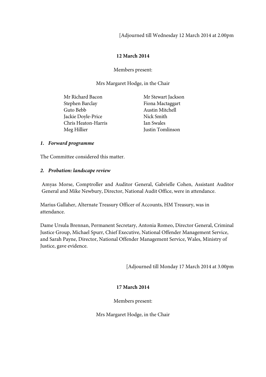[Adjourned till Wednesday 12 March 2014 at 2.00pm

## **12 March 2014**

Members present:

Mrs Margaret Hodge, in the Chair

| Mr Richard Bacon    | Mr Stewart Jackson |
|---------------------|--------------------|
| Stephen Barclay     | Fiona Mactaggart   |
| Guto Bebb           | Austin Mitchell    |
| Jackie Doyle-Price  | Nick Smith         |
| Chris Heaton-Harris | Ian Swales         |
| Meg Hillier         | Justin Tomlinson   |

### *1. Forward programme*

The Committee considered this matter.

#### *2. Probation: landscape review*

Amyas Morse, Comptroller and Auditor General, Gabrielle Cohen, Assistant Auditor General and Mike Newbury, Director, National Audit Office, were in attendance.

Marius Gallaher, Alternate Treasury Officer of Accounts, HM Treasury, was in attendance.

Dame Ursula Brennan, Permanent Secretary, Antonia Romeo, Director General, Criminal Justice Group, Michael Spurr, Chief Executive, National Offender Management Service, and Sarah Payne, Director, National Offender Management Service, Wales, Ministry of Justice, gave evidence.

[Adjourned till Monday 17 March 2014 at 3.00pm

### **17 March 2014**

Members present:

Mrs Margaret Hodge, in the Chair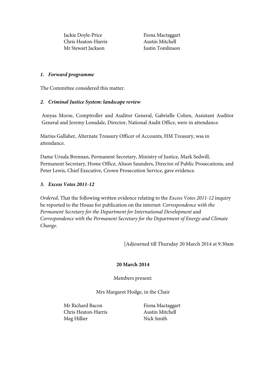Jackie Doyle-Price Chris Heaton-Harris Mr Stewart Jackson

Fiona Mactaggart Austin Mitchell Justin Tomlinson

#### *1. Forward programme*

The Committee considered this matter.

### *2. Criminal Justice System: landscape review*

Amyas Morse, Comptroller and Auditor General, Gabrielle Cohen, Assistant Auditor General and Jeremy Lonsdale, Director, National Audit Office, were in attendance.

Marius Gallaher, Alternate Treasury Officer of Accounts, HM Treasury, was in attendance.

Dame Ursula Brennan, Permanent Secretary, Ministry of Justice, Mark Sedwill, Permanent Secretary, Home Office, Alison Saunders, Director of Public Prosecutions, and Peter Lewis, Chief Executive, Crown Prosecution Service, gave evidence.

### *3. Excess Votes 2011-12*

*Ordered*, That the following written evidence relating to the *Excess Votes 2011-12* inquiry be reported to the House for publication on the internet: *Correspondence with the Permanent Secretary for the Department for International Development* and *Correspondence with the Permanent Secretary for the Department of Energy and Climate Change*.

[Adjourned till Thursday 20 March 2014 at 9.30am

#### **20 March 2014**

Members present:

Mrs Margaret Hodge, in the Chair

Mr Richard Bacon Chris Heaton-Harris Meg Hillier

Fiona Mactaggart Austin Mitchell Nick Smith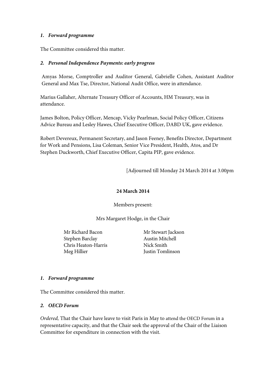#### *1. Forward programme*

The Committee considered this matter.

#### *2. Personal Independence Payments: early progress*

Amyas Morse, Comptroller and Auditor General, Gabrielle Cohen, Assistant Auditor General and Max Tse, Director, National Audit Office, were in attendance.

Marius Gallaher, Alternate Treasury Officer of Accounts, HM Treasury, was in attendance.

James Bolton, Policy Officer, Mencap, Vicky Pearlman, Social Policy Officer, Citizens Advice Bureau and Lesley Hawes, Chief Executive Officer, DABD UK, gave evidence.

Robert Devereux, Permanent Secretary, and Jason Feeney, Benefits Director, Department for Work and Pensions, Lisa Coleman, Senior Vice President, Health, Atos, and Dr Stephen Duckworth, Chief Executive Officer, Capita PIP, gave evidence.

[Adjourned till Monday 24 March 2014 at 3.00pm

#### **24 March 2014**

Members present:

Mrs Margaret Hodge, in the Chair

Mr Richard Bacon Stephen Barclay Chris Heaton-Harris Meg Hillier

Mr Stewart Jackson Austin Mitchell Nick Smith Justin Tomlinson

#### *1. Forward programme*

The Committee considered this matter.

#### *2. OECD Forum*

*Ordered,* That the Chair have leave to visit Paris in May to attend the OECD Forum in a representative capacity, and that the Chair seek the approval of the Chair of the Liaison Committee for expenditure in connection with the visit.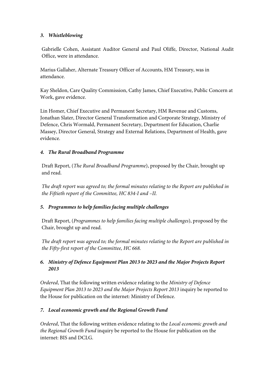## *3. Whistleblowing*

Gabrielle Cohen, Assistant Auditor General and Paul Oliffe, Director, National Audit Office, were in attendance.

Marius Gallaher, Alternate Treasury Officer of Accounts, HM Treasury, was in attendance.

Kay Sheldon, Care Quality Commission, Cathy James, Chief Executive, Public Concern at Work, gave evidence.

Lin Homer, Chief Executive and Permanent Secretary, HM Revenue and Customs, Jonathan Slater, Director General Transformation and Corporate Strategy, Ministry of Defence, Chris Wormald, Permanent Secretary, Department for Education, Charlie Massey, Director General, Strategy and External Relations, Department of Health, gave evidence.

### *4. The Rural Broadband Programme*

Draft Report, (*The Rural Broadband Programme*), proposed by the Chair, brought up and read.

*The draft report was agreed to; the formal minutes relating to the Report are published in the Fiftieth report of the Committee, HC 834-I and –II.*

# *5. Programmes to help families facing multiple challenges*

Draft Report, (*Programmes to help families facing multiple challenges*), proposed by the Chair, brought up and read.

*The draft report was agreed to; the formal minutes relating to the Report are published in the Fifty-first report of the Committee, HC 668.*

# *6. Ministry of Defence Equipment Plan 2013 to 2023 and the Major Projects Report 2013*

*Ordered*, That the following written evidence relating to the *Ministry of Defence Equipment Plan 2013 to 2023 and the Major Projects Report 2013* inquiry be reported to the House for publication on the internet: Ministry of Defence.

# *7. Local economic growth and the Regional Growth Fund*

*Ordered*, That the following written evidence relating to the *Local economic growth and the Regional Growth Fund* inquiry be reported to the House for publication on the internet: BIS and DCLG.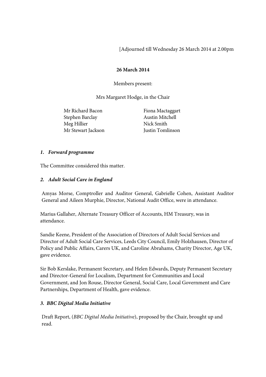[Adjourned till Wednesday 26 March 2014 at 2.00pm

### **26 March 2014**

Members present:

Mrs Margaret Hodge, in the Chair

Mr Richard Bacon Stephen Barclay Meg Hillier Mr Stewart Jackson

Fiona Mactaggart Austin Mitchell Nick Smith Justin Tomlinson

### *1. Forward programme*

The Committee considered this matter.

### *2. Adult Social Care in England*

Amyas Morse, Comptroller and Auditor General, Gabrielle Cohen, Assistant Auditor General and Aileen Murphie, Director, National Audit Office, were in attendance.

Marius Gallaher, Alternate Treasury Officer of Accounts, HM Treasury, was in attendance.

Sandie Keene, President of the Association of Directors of Adult Social Services and Director of Adult Social Care Services, Leeds City Council, Emily Holzhausen, Director of Policy and Public Affairs, Carers UK, and Caroline Abrahams, Charity Director, Age UK, gave evidence.

Sir Bob Kerslake, Permanent Secretary, and Helen Edwards, Deputy Permanent Secretary and Director-General for Localism, Department for Communities and Local Government, and Jon Rouse, Director General, Social Care, Local Government and Care Partnerships, Department of Health, gave evidence.

### *3. BBC Digital Media Initiative*

Draft Report, (*BBC Digital Media Initiative*), proposed by the Chair, brought up and read.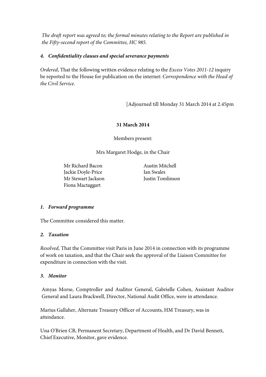*The draft report was agreed to; the formal minutes relating to the Report are published in the Fifty-second report of the Committee, HC 985.*

### *4. Confidentiality clauses and special severance payments*

*Ordered*, That the following written evidence relating to the *Excess Votes 2011-12* inquiry be reported to the House for publication on the internet: *Correspondence with the Head of the Civil Service*.

[Adjourned till Monday 31 March 2014 at 2.45pm

### **31 March 2014**

Members present:

Mrs Margaret Hodge, in the Chair

Mr Richard Bacon Jackie Doyle-Price Mr Stewart Jackson Fiona Mactaggart

Austin Mitchell Ian Swales Justin Tomlinson

### *1. Forward programme*

The Committee considered this matter.

### *2. Taxation*

*Resolved,* That the Committee visit Paris in June 2014 in connection with its programme of work on taxation, and that the Chair seek the approval of the Liaison Committee for expenditure in connection with the visit.

#### *3. Monitor*

Amyas Morse, Comptroller and Auditor General, Gabrielle Cohen, Assistant Auditor General and Laura Brackwell, Director, National Audit Office, were in attendance.

Marius Gallaher, Alternate Treasury Officer of Accounts, HM Treasury, was in attendance.

Una O'Brien CB, Permanent Secretary, Department of Health, and Dr David Bennett, Chief Executive, Monitor, gave evidence.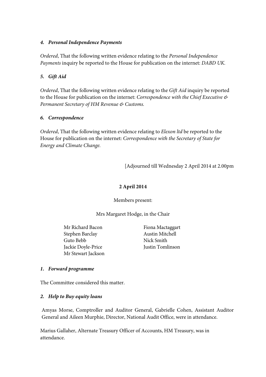#### *4. Personal Independence Payments*

*Ordered*, That the following written evidence relating to the *Personal Independence Payments* inquiry be reported to the House for publication on the internet: *DABD UK.*

### *5. Gift Aid*

*Ordered*, That the following written evidence relating to the *Gift Aid* inquiry be reported to the House for publication on the internet: *Correspondence with the Chief Executive & Permanent Secretary of HM Revenue & Customs.*

### *6. Correspondence*

*Ordered*, That the following written evidence relating to *Elexon ltd* be reported to the House for publication on the internet: *Correspondence with the Secretary of State for Energy and Climate Change.*

[Adjourned till Wednesday 2 April 2014 at 2.00pm

## **2 April 2014**

Members present:

Mrs Margaret Hodge, in the Chair

Mr Richard Bacon Stephen Barclay Guto Bebb Jackie Doyle-Price Mr Stewart Jackson

Fiona Mactaggart Austin Mitchell Nick Smith Justin Tomlinson

### *1. Forward programme*

The Committee considered this matter.

### *2. Help to Buy equity loans*

Amyas Morse, Comptroller and Auditor General, Gabrielle Cohen, Assistant Auditor General and Aileen Murphie, Director, National Audit Office, were in attendance.

Marius Gallaher, Alternate Treasury Officer of Accounts, HM Treasury, was in attendance.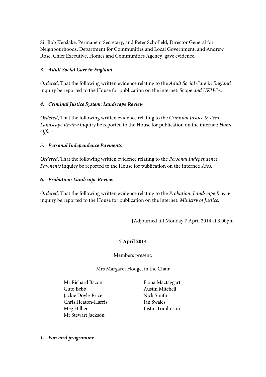Sir Bob Kerslake, Permanent Secretary, and Peter Schofield, Director General for Neighbourhoods, Department for Communities and Local Government, and Andrew Rose, Chief Executive, Homes and Communities Agency, gave evidence.

# *3. Adult Social Care in England*

*Ordered*, That the following written evidence relating to the *Adult Social Care in England* inquiry be reported to the House for publication on the internet: Scope *and UKHCA.*

### *4. Criminal Justice System: Landscape Review*

*Ordered*, That the following written evidence relating to the *Criminal Justice System: Landscape Review* inquiry be reported to the House for publication on the internet: *Home Office.*

### *5. Personal Independence Payments*

*Ordered*, That the following written evidence relating to the *Personal Independence Payments* inquiry be reported to the House for publication on the internet: *Atos.*

### *6. Probation: Landscape Review*

*Ordered*, That the following written evidence relating to the *Probation: Landscape Review* inquiry be reported to the House for publication on the internet: *Ministry of Justice.*

[Adjourned till Monday 7 April 2014 at 3.00pm

# **7 April 2014**

### Members present:

### Mrs Margaret Hodge, in the Chair

Mr Richard Bacon Guto Bebb Jackie Doyle-Price Chris Heaton-Harris Meg Hillier Mr Stewart Jackson

Fiona Mactaggart Austin Mitchell Nick Smith Ian Swales Justin Tomlinson

*1. Forward programme*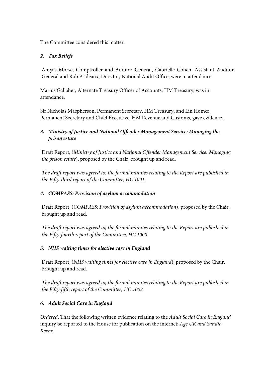The Committee considered this matter.

# *2. Tax Reliefs*

Amyas Morse, Comptroller and Auditor General, Gabrielle Cohen, Assistant Auditor General and Rob Prideaux, Director, National Audit Office, were in attendance.

Marius Gallaher, Alternate Treasury Officer of Accounts, HM Treasury, was in attendance.

Sir Nicholas Macpherson, Permanent Secretary, HM Treasury, and Lin Homer, Permanent Secretary and Chief Executive, HM Revenue and Customs, gave evidence.

# *3. Ministry of Justice and National Offender Management Service: Managing the prison estate*

Draft Report, (*Ministry of Justice and National Offender Management Service: Managing the prison estate*), proposed by the Chair, brought up and read.

*The draft report was agreed to; the formal minutes relating to the Report are published in the Fifty-third report of the Committee, HC 1001.*

# *4. COMPASS: Provision of asylum accommodation*

Draft Report, (*COMPASS: Provision of asylum accommodation*), proposed by the Chair, brought up and read.

*The draft report was agreed to; the formal minutes relating to the Report are published in the Fifty-fourth report of the Committee, HC 1000.*

# *5. NHS waiting times for elective care in England*

Draft Report, (*NHS waiting times for elective care in England*), proposed by the Chair, brought up and read.

*The draft report was agreed to; the formal minutes relating to the Report are published in the Fifty-fifth report of the Committee, HC 1002.*

# *6. Adult Social Care in England*

*Ordered*, That the following written evidence relating to the *Adult Social Care in England* inquiry be reported to the House for publication on the internet: *Age UK and Sandie Keene.*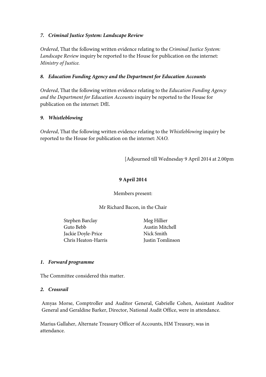### *7. Criminal Justice System: Landscape Review*

*Ordered*, That the following written evidence relating to the *Criminal Justice System: Landscape Review* inquiry be reported to the House for publication on the internet: *Ministry of Justice.*

### *8. Education Funding Agency and the Department for Education Accounts*

*Ordered*, That the following written evidence relating to the *Education Funding Agency and the Department for Education Accounts* inquiry be reported to the House for publication on the internet: DfE*.*

### *9. Whistleblowing*

*Ordered*, That the following written evidence relating to the *Whistleblowing* inquiry be reported to the House for publication on the internet: *NAO.*

[Adjourned till Wednesday 9 April 2014 at 2.00pm

# **9 April 2014**

Members present:

Mr Richard Bacon, in the Chair

Stephen Barclay Guto Bebb Jackie Doyle-Price Chris Heaton-Harris

Meg Hillier Austin Mitchell Nick Smith Justin Tomlinson

### *1. Forward programme*

The Committee considered this matter.

### *2. Crossrail*

Amyas Morse, Comptroller and Auditor General, Gabrielle Cohen, Assistant Auditor General and Geraldine Barker, Director, National Audit Office, were in attendance.

Marius Gallaher, Alternate Treasury Officer of Accounts, HM Treasury, was in attendance.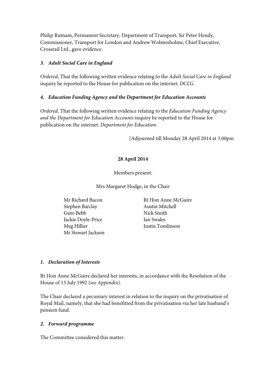Philip Rutnam, Permanent Secretary, Department of Transport, Sir Peter Hendy, Commissioner, Transport for London and Andrew Wolstenholme, Chief Executive, Crossrail Ltd., gave evidence.

### *3. Adult Social Care in England*

*Ordered*, That the following written evidence relating to the *Adult Social Care in England* inquiry be reported to the House for publication on the internet: *DCLG.*

### *4. Education Funding Agency and the Department for Education Accounts*

*Ordered*, That the following written evidence relating to the *Education Funding Agency and the Department for Education Accounts* inquiry be reported to the House for publication on the internet: *Department for Education.*

[Adjourned till Monday 28 April 2014 at 3.00pm

# **28 April 2014**

Members present:

Mrs Margaret Hodge, in the Chair

- Mr Richard Bacon Stephen Barclay Guto Bebb Jackie Doyle-Price Meg Hillier Mr Stewart Jackson
- Rt Hon Anne McGuire Austin Mitchell Nick Smith Ian Swales Justin Tomlinson

# *1. Declaration of Interests*

Rt Hon Anne McGuire declared her interests, in accordance with the Resolution of the House of 13 July 1992 (*see Appendix*).

The Chair declared a pecuniary interest in relation to the inquiry on the privatisation of Royal Mail, namely, that she had benefitted from the privatisation via her late husband's pension fund.

### *2. Forward programme*

The Committee considered this matter.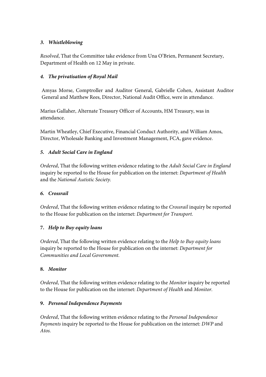# *3. Whistleblowing*

*Resolved*, That the Committee take evidence from Una O'Brien, Permanent Secretary, Department of Health on 12 May in private.

# *4. The privatisation of Royal Mail*

Amyas Morse, Comptroller and Auditor General, Gabrielle Cohen, Assistant Auditor General and Matthew Rees, Director, National Audit Office, were in attendance.

Marius Gallaher, Alternate Treasury Officer of Accounts, HM Treasury, was in attendance.

Martin Wheatley, Chief Executive, Financial Conduct Authority, and William Amos, Director, Wholesale Banking and Investment Management, FCA, gave evidence.

# *5. Adult Social Care in England*

*Ordered*, That the following written evidence relating to the *Adult Social Care in England* inquiry be reported to the House for publication on the internet: *Department of Health* and the *National Autistic Society.*

# *6. Crossrail*

*Ordered*, That the following written evidence relating to the *Crossrail* inquiry be reported to the House for publication on the internet: *Department for Transport.*

# **7.** *Help to Buy equity loans*

*Ordered*, That the following written evidence relating to the *Help to Buy equity loans*  inquiry be reported to the House for publication on the internet: *Department for Communities and Local Government.*

# **8.** *Monitor*

*Ordered*, That the following written evidence relating to the *Monitor* inquiry be reported to the House for publication on the internet: *Department of Health* and *Monitor.*

# **9.** *Personal Independence Payments*

*Ordered*, That the following written evidence relating to the *Personal Independence Payments* inquiry be reported to the House for publication on the internet: *DWP* and *Atos.*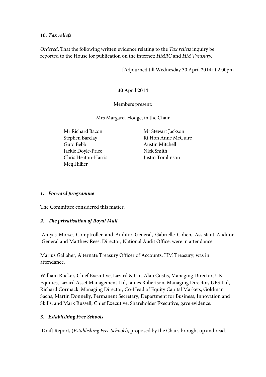### **10.** *Tax reliefs*

*Ordered*, That the following written evidence relating to the *Tax reliefs* inquiry be reported to the House for publication on the internet: *HMRC* and *HM Treasury.*

[Adjourned till Wednesday 30 April 2014 at 2.00pm

#### **30 April 2014**

Members present:

Mrs Margaret Hodge, in the Chair

Mr Richard Bacon Stephen Barclay Guto Bebb Jackie Doyle-Price Chris Heaton-Harris Meg Hillier

Mr Stewart Jackson Rt Hon Anne McGuire Austin Mitchell Nick Smith Justin Tomlinson

#### *1. Forward programme*

The Committee considered this matter.

### *2. The privatisation of Royal Mail*

Amyas Morse, Comptroller and Auditor General, Gabrielle Cohen, Assistant Auditor General and Matthew Rees, Director, National Audit Office, were in attendance.

Marius Gallaher, Alternate Treasury Officer of Accounts, HM Treasury, was in attendance.

William Rucker, Chief Executive, Lazard & Co., Alan Custis, Managing Director, UK Equities, Lazard Asset Management Ltd, James Robertson, Managing Director, UBS Ltd, Richard Cormack, Managing Director, Co-Head of Equity Capital Markets, Goldman Sachs, Martin Donnelly, Permanent Secretary, Department for Business, Innovation and Skills, and Mark Russell, Chief Executive, Shareholder Executive, gave evidence.

### *3. Establishing Free Schools*

Draft Report, (*Establishing Free Schools*), proposed by the Chair, brought up and read.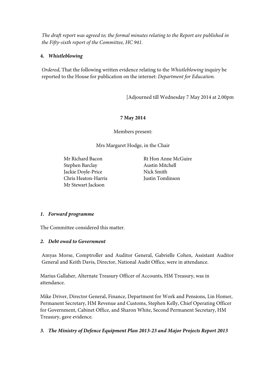*The draft report was agreed to; the formal minutes relating to the Report are published in the Fifty-sixth report of the Committee, HC 941.*

### **4.** *Whistleblowing*

*Ordered*, That the following written evidence relating to the *Whistleblowing* inquiry be reported to the House for publication on the internet: *Department for Education.*

[Adjourned till Wednesday 7 May 2014 at 2.00pm

### **7 May 2014**

Members present:

Mrs Margaret Hodge, in the Chair

Mr Richard Bacon Stephen Barclay Jackie Doyle-Price Chris Heaton-Harris Mr Stewart Jackson

Rt Hon Anne McGuire Austin Mitchell Nick Smith Justin Tomlinson

### *1. Forward programme*

The Committee considered this matter.

### *2. Debt owed to Government*

Amyas Morse, Comptroller and Auditor General, Gabrielle Cohen, Assistant Auditor General and Keith Davis, Director, National Audit Office, were in attendance.

Marius Gallaher, Alternate Treasury Officer of Accounts, HM Treasury, was in attendance.

Mike Driver, Director General, Finance, Department for Work and Pensions, Lin Homer, Permanent Secretary, HM Revenue and Customs, Stephen Kelly, Chief Operating Officer for Government, Cabinet Office, and Sharon White, Second Permanent Secretary, HM Treasury, gave evidence.

# *3. The Ministry of Defence Equipment Plan 2013-23 and Major Projects Report 2013*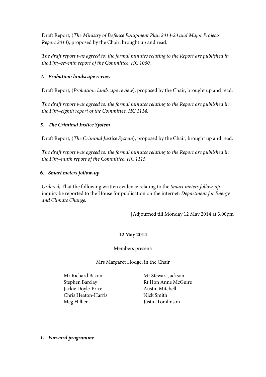Draft Report, (*The Ministry of Defence Equipment Plan 2013-23 and Major Projects Report 2013*), proposed by the Chair, brought up and read.

*The draft report was agreed to; the formal minutes relating to the Report are published in the Fifty-seventh report of the Committee, HC 1060.*

## *4. Probation: landscape review*

Draft Report, (*Probation: landscape review*), proposed by the Chair, brought up and read.

*The draft report was agreed to; the formal minutes relating to the Report are published in the Fifty-eighth report of the Committee, HC 1114.*

## *5. The Criminal Justice System*

Draft Report, (*The Criminal Justice System*), proposed by the Chair, brought up and read.

*The draft report was agreed to; the formal minutes relating to the Report are published in the Fifty-ninth report of the Committee, HC 1115.*

### **6.** *Smart meters follow-up*

*Ordered*, That the following written evidence relating to the *Smart meters follow-up*  inquiry be reported to the House for publication on the internet: *Department for Energy and Climate Change.*

[Adjourned till Monday 12 May 2014 at 3.00pm

### **12 May 2014**

Members present:

Mrs Margaret Hodge, in the Chair

Mr Richard Bacon Stephen Barclay Jackie Doyle-Price Chris Heaton-Harris Meg Hillier

Mr Stewart Jackson Rt Hon Anne McGuire Austin Mitchell Nick Smith Justin Tomlinson

*1. Forward programme*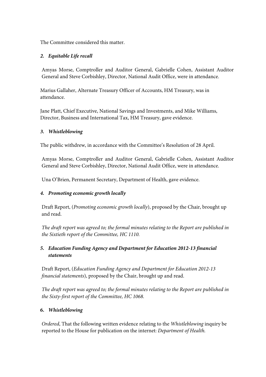The Committee considered this matter.

# *2. Equitable Life recall*

Amyas Morse, Comptroller and Auditor General, Gabrielle Cohen, Assistant Auditor General and Steve Corbishley, Director, National Audit Office, were in attendance.

Marius Gallaher, Alternate Treasury Officer of Accounts, HM Treasury, was in attendance.

Jane Platt, Chief Executive, National Savings and Investments, and Mike Williams, Director, Business and International Tax, HM Treasury, gave evidence.

### *3. Whistleblowing*

The public withdrew, in accordance with the Committee's Resolution of 28 April.

Amyas Morse, Comptroller and Auditor General, Gabrielle Cohen, Assistant Auditor General and Steve Corbishley, Director, National Audit Office, were in attendance.

Una O'Brien, Permanent Secretary, Department of Health, gave evidence.

### *4. Promoting economic growth locally*

Draft Report, (*Promoting economic growth locally*), proposed by the Chair, brought up and read.

*The draft report was agreed to; the formal minutes relating to the Report are published in the Sixtieth report of the Committee, HC 1110.*

# *5. Education Funding Agency and Department for Education 2012-13 financial statements*

Draft Report, (*Education Funding Agency and Department for Education 2012-13 financial statements*), proposed by the Chair, brought up and read.

*The draft report was agreed to; the formal minutes relating to the Report are published in the Sixty-first report of the Committee, HC 1068.*

### **6.** *Whistleblowing*

*Ordered*, That the following written evidence relating to the *Whistleblowing* inquiry be reported to the House for publication on the internet: *Department of Health.*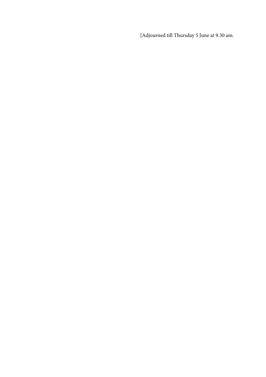[Adjourned till Thursday 5 June at 9.30 am.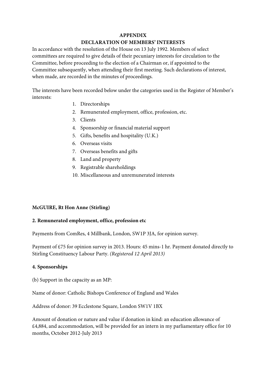#### **APPENDIX**

### **DECLARATION OF MEMBERS' INTERESTS**

In accordance with the resolution of the House on 13 July 1992. Members of select committees are required to give details of their pecuniary interests for circulation to the Committee, before proceeding to the election of a Chairman or, if appointed to the Committee subsequently, when attending their first meeting. Such declarations of interest, when made, are recorded in the minutes of proceedings.

The interests have been recorded below under the categories used in the Register of Member's interests:

- 1. Directorships
- 2. Remunerated employment, office, profession, etc.
- 3. Clients
- 4. Sponsorship or financial material support
- 5. Gifts, benefits and hospitality (U.K.)
- 6. Overseas visits
- 7. Overseas benefits and gifts
- 8. Land and property
- 9. Registrable shareholdings
- 10. Miscellaneous and unremunerated interests

#### **McGUIRE, Rt Hon Anne (Stirling)**

#### **2. Remunerated employment, office, profession etc**

Payments from ComRes, 4 Millbank, London, SW1P 3JA, for opinion survey.

Payment of £75 for opinion survey in 2013. Hours: 45 mins-1 hr. Payment donated directly to Stirling Constituency Labour Party. *(Registered 12 April 2013)*

#### **4. Sponsorships**

(b) Support in the capacity as an MP:

Name of donor: Catholic Bishops Conference of England and Wales

Address of donor: 39 Ecclestone Square, London SW1V 1BX

Amount of donation or nature and value if donation in kind: an education allowance of £4,884, and accommodation, will be provided for an intern in my parliamentary office for 10 months, October 2012-July 2013